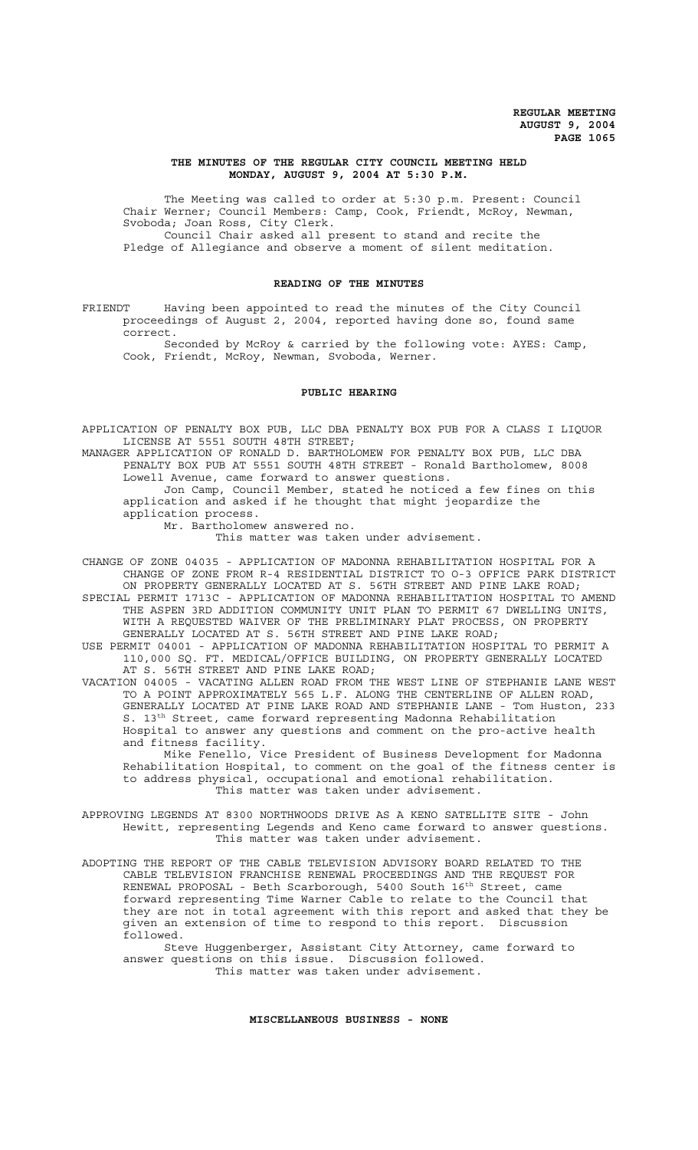# **THE MINUTES OF THE REGULAR CITY COUNCIL MEETING HELD MONDAY, AUGUST 9, 2004 AT 5:30 P.M.**

The Meeting was called to order at 5:30 p.m. Present: Council Chair Werner; Council Members: Camp, Cook, Friendt, McRoy, Newman, Svoboda; Joan Ross, City Clerk. Council Chair asked all present to stand and recite the

Pledge of Allegiance and observe a moment of silent meditation.

## **READING OF THE MINUTES**

FRIENDT Having been appointed to read the minutes of the City Council proceedings of August 2, 2004, reported having done so, found same correct.

Seconded by McRoy & carried by the following vote: AYES: Camp, Cook, Friendt, McRoy, Newman, Svoboda, Werner.

## **PUBLIC HEARING**

APPLICATION OF PENALTY BOX PUB, LLC DBA PENALTY BOX PUB FOR A CLASS I LIQUOR LICENSE AT 5551 SOUTH 48TH STREET;

MANAGER APPLICATION OF RONALD D. BARTHOLOMEW FOR PENALTY BOX PUB, LLC DBA PENALTY BOX PUB AT 5551 SOUTH 48TH STREET - Ronald Bartholomew, 8008 Lowell Avenue, came forward to answer questions.

Jon Camp, Council Member, stated he noticed a few fines on this application and asked if he thought that might jeopardize the application process.

Mr. Bartholomew answered no.

This matter was taken under advisement.

CHANGE OF ZONE 04035 - APPLICATION OF MADONNA REHABILITATION HOSPITAL FOR A CHANGE OF ZONE FROM R-4 RESIDENTIAL DISTRICT TO O-3 OFFICE PARK DISTRICT ON PROPERTY GENERALLY LOCATED AT S. 56TH STREET AND PINE LAKE ROAD; SPECIAL PERMIT 1713C - APPLICATION OF MADONNA REHABILITATION HOSPITAL TO AMEND

THE ASPEN 3RD ADDITION COMMUNITY UNIT PLAN TO PERMIT 67 DWELLING UNITS, WITH A REQUESTED WAIVER OF THE PRELIMINARY PLAT PROCESS, ON PROPERTY GENERALLY LOCATED AT S. 56TH STREET AND PINE LAKE ROAD; USE PERMIT 04001 - APPLICATION OF MADONNA REHABILITATION HOSPITAL TO PERMIT A

110,000 SQ. FT. MEDICAL/OFFICE BUILDING, ON PROPERTY GENERALLY LOCATED AT S. 56TH STREET AND PINE LAKE ROAD;

VACATION 04005 - VACATING ALLEN ROAD FROM THE WEST LINE OF STEPHANIE LANE WEST TO A POINT APPROXIMATELY 565 L.F. ALONG THE CENTERLINE OF ALLEN ROAD, GENERALLY LOCATED AT PINE LAKE ROAD AND STEPHANIE LANE - Tom Huston, 233 S. 13th Street, came forward representing Madonna Rehabilitation Hospital to answer any questions and comment on the pro-active health and fitness facility.

Mike Fenello, Vice President of Business Development for Madonna Rehabilitation Hospital, to comment on the goal of the fitness center is to address physical, occupational and emotional rehabilitation. This matter was taken under advisement.

APPROVING LEGENDS AT 8300 NORTHWOODS DRIVE AS A KENO SATELLITE SITE - John Hewitt, representing Legends and Keno came forward to answer questions. This matter was taken under advisement.

ADOPTING THE REPORT OF THE CABLE TELEVISION ADVISORY BOARD RELATED TO THE CABLE TELEVISION FRANCHISE RENEWAL PROCEEDINGS AND THE REQUEST FOR RENEWAL PROPOSAL - Beth Scarborough, 5400 South 16<sup>th</sup> Street, came forward representing Time Warner Cable to relate to the Council that they are not in total agreement with this report and asked that they be given an extension of time to respond to this report. Discussion followed.

Steve Huggenberger, Assistant City Attorney, came forward to answer questions on this issue. Discussion followed. This matter was taken under advisement.

**MISCELLANEOUS BUSINESS - NONE**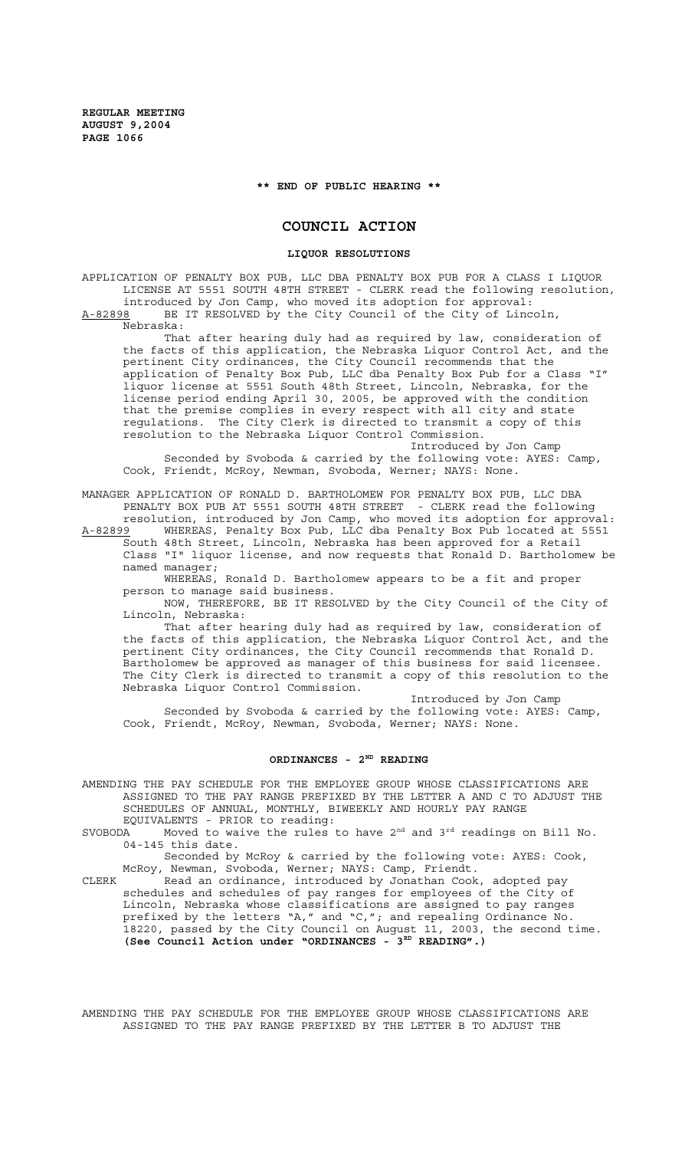## **\*\* END OF PUBLIC HEARING \*\***

# **COUNCIL ACTION**

# **LIQUOR RESOLUTIONS**

APPLICATION OF PENALTY BOX PUB, LLC DBA PENALTY BOX PUB FOR A CLASS I LIQUOR LICENSE AT 5551 SOUTH 48TH STREET - CLERK read the following resolution, introduced by Jon Camp, who moved its adoption for approval: A-82898 BE IT RESOLVED by the City Council of the City of Lincoln,

Nebraska:

That after hearing duly had as required by law, consideration of the facts of this application, the Nebraska Liquor Control Act, and the pertinent City ordinances, the City Council recommends that the application of Penalty Box Pub, LLC dba Penalty Box Pub for a Class "I" liquor license at 5551 South 48th Street, Lincoln, Nebraska, for the license period ending April 30, 2005, be approved with the condition that the premise complies in every respect with all city and state regulations. The City Clerk is directed to transmit a copy of this resolution to the Nebraska Liquor Control Commission.

Introduced by Jon Camp Seconded by Svoboda & carried by the following vote: AYES: Camp, Cook, Friendt, McRoy, Newman, Svoboda, Werner; NAYS: None.

MANAGER APPLICATION OF RONALD D. BARTHOLOMEW FOR PENALTY BOX PUB, LLC DBA PENALTY BOX PUB AT 5551 SOUTH 48TH STREET - CLERK read the following resolution, introduced by Jon Camp, who moved its adoption for approval:

A-82899 MHEREAS, Penalty Box Pub, LLC dba Penalty Box Pub located at 5551 South 48th Street, Lincoln, Nebraska has been approved for a Retail Class "I" liquor license, and now requests that Ronald D. Bartholomew be named manager;

WHEREAS, Ronald D. Bartholomew appears to be a fit and proper person to manage said business.

NOW, THEREFORE, BE IT RESOLVED by the City Council of the City of Lincoln, Nebraska:

That after hearing duly had as required by law, consideration of the facts of this application, the Nebraska Liquor Control Act, and the pertinent City ordinances, the City Council recommends that Ronald D. Bartholomew be approved as manager of this business for said licensee. The City Clerk is directed to transmit a copy of this resolution to the Nebraska Liquor Control Commission.

Introduced by Jon Camp Seconded by Svoboda & carried by the following vote: AYES: Camp, Cook, Friendt, McRoy, Newman, Svoboda, Werner; NAYS: None.

# ORDINANCES - 2<sup>ND</sup> READING

AMENDING THE PAY SCHEDULE FOR THE EMPLOYEE GROUP WHOSE CLASSIFICATIONS ARE ASSIGNED TO THE PAY RANGE PREFIXED BY THE LETTER A AND C TO ADJUST THE SCHEDULES OF ANNUAL, MONTHLY, BIWEEKLY AND HOURLY PAY RANGE

EQUIVALENTS - PRIOR to reading:<br>SVOBODA Moved to waive the rules Moved to waive the rules to have  $2<sup>nd</sup>$  and  $3<sup>rd</sup>$  readings on Bill No. 04-145 this date.

Seconded by McRoy & carried by the following vote: AYES: Cook, McRoy, Newman, Svoboda, Werner; NAYS: Camp, Friendt.

CLERK Read an ordinance, introduced by Jonathan Cook, adopted pay schedules and schedules of pay ranges for employees of the City of Lincoln, Nebraska whose classifications are assigned to pay ranges prefixed by the letters "A," and "C,"; and repealing Ordinance No. 18220, passed by the City Council on August 11, 2003, the second time. (See Council Action under "ORDINANCES - 3<sup>RD</sup> READING".)

AMENDING THE PAY SCHEDULE FOR THE EMPLOYEE GROUP WHOSE CLASSIFICATIONS ARE ASSIGNED TO THE PAY RANGE PREFIXED BY THE LETTER B TO ADJUST THE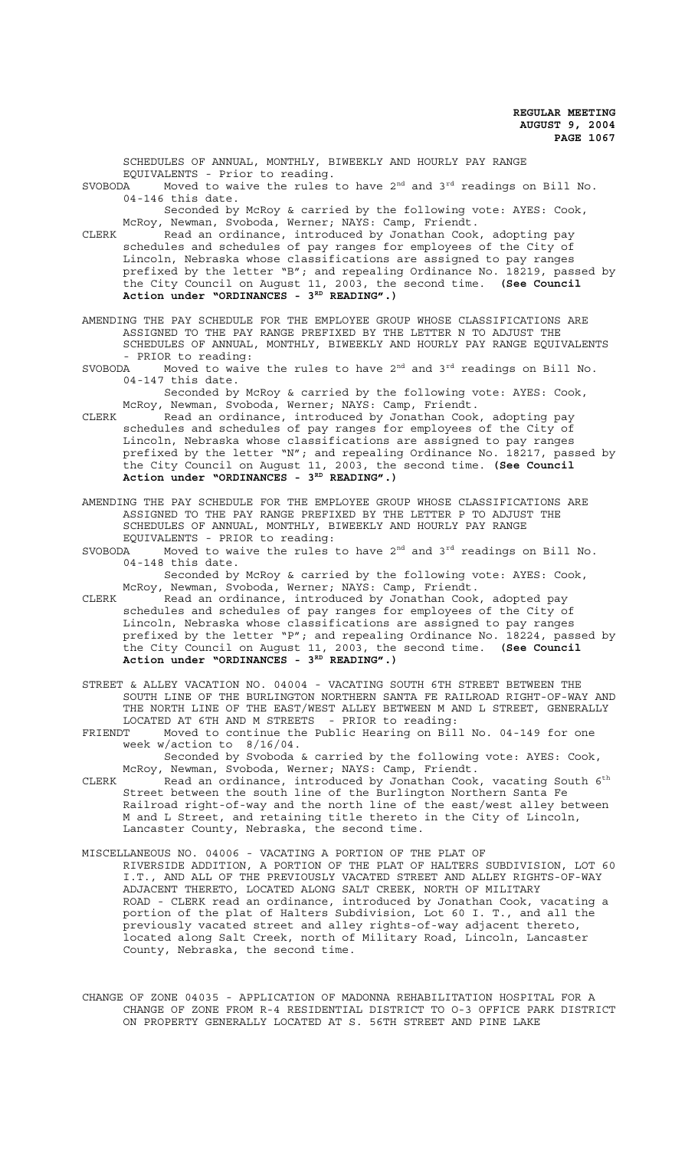SCHEDULES OF ANNUAL, MONTHLY, BIWEEKLY AND HOURLY PAY RANGE EQUIVALENTS - Prior to reading.<br>SVORODA Moved to waive the rules Moved to waive the rules to have  $2^{nd}$  and  $3^{rd}$  readings on Bill No. 04-146 this date. Seconded by McRoy & carried by the following vote: AYES: Cook, McRoy, Newman, Svoboda, Werner; NAYS: Camp, Friendt. CLERK Read an ordinance, introduced by Jonathan Cook, adopting pay schedules and schedules of pay ranges for employees of the City of Lincoln, Nebraska whose classifications are assigned to pay ranges prefixed by the letter "B"; and repealing Ordinance No. 18219, passed by the City Council on August 11, 2003, the second time. **(See Council** Action under "ORDINANCES - 3<sup>RD</sup> READING".) AMENDING THE PAY SCHEDULE FOR THE EMPLOYEE GROUP WHOSE CLASSIFICATIONS ARE ASSIGNED TO THE PAY RANGE PREFIXED BY THE LETTER N TO ADJUST THE SCHEDULES OF ANNUAL, MONTHLY, BIWEEKLY AND HOURLY PAY RANGE EQUIVALENTS - PRIOR to reading:<br>SVOBODA Moved to waive Moved to waive the rules to have  $2^{nd}$  and  $3^{rd}$  readings on Bill No. 04-147 this date. Seconded by McRoy & carried by the following vote: AYES: Cook, McRoy, Newman, Svoboda, Werner; NAYS: Camp, Friendt. CLERK Read an ordinance, introduced by Jonathan Cook, adopting pay schedules and schedules of pay ranges for employees of the City of Lincoln, Nebraska whose classifications are assigned to pay ranges prefixed by the letter "N"; and repealing Ordinance No. 18217, passed by the City Council on August 11, 2003, the second time. **(See Council** Action under "ORDINANCES - 3<sup>RD</sup> READING".) AMENDING THE PAY SCHEDULE FOR THE EMPLOYEE GROUP WHOSE CLASSIFICATIONS ARE ASSIGNED TO THE PAY RANGE PREFIXED BY THE LETTER P TO ADJUST THE SCHEDULES OF ANNUAL, MONTHLY, BIWEEKLY AND HOURLY PAY RANGE EQUIVALENTS - PRIOR to reading: SVOBODA Moved to waive the rules to have 2nd and 3rd readings on Bill No. 04-148 this date.

Seconded by McRoy & carried by the following vote: AYES: Cook, McRoy, Newman, Svoboda, Werner; NAYS: Camp, Friendt.

CLERK Read an ordinance, introduced by Jonathan Cook, adopted pay schedules and schedules of pay ranges for employees of the City of Lincoln, Nebraska whose classifications are assigned to pay ranges prefixed by the letter "P"; and repealing Ordinance No. 18224, passed by the City Council on August 11, 2003, the second time. **(See Council** Action under "ORDINANCES - 3<sup>RD</sup> READING".)

STREET & ALLEY VACATION NO. 04004 - VACATING SOUTH 6TH STREET BETWEEN THE SOUTH LINE OF THE BURLINGTON NORTHERN SANTA FE RAILROAD RIGHT-OF-WAY AND THE NORTH LINE OF THE EAST/WEST ALLEY BETWEEN M AND L STREET, GENERALLY LOCATED AT 6TH AND M STREETS - PRIOR to reading:

FRIENDT Moved to continue the Public Hearing on Bill No. 04-149 for one week w/action to 8/16/04.

Seconded by Svoboda & carried by the following vote: AYES: Cook, McRoy, Newman, Svoboda, Werner; NAYS: Camp, Friendt.

- CLERK  $\qquad$  Read an ordinance, introduced by Jonathan Cook, vacating South  $6^{\text{th}}$ Street between the south line of the Burlington Northern Santa Fe Railroad right-of-way and the north line of the east/west alley between M and L Street, and retaining title thereto in the City of Lincoln, Lancaster County, Nebraska, the second time.
- MISCELLANEOUS NO. 04006 VACATING A PORTION OF THE PLAT OF RIVERSIDE ADDITION, A PORTION OF THE PLAT OF HALTERS SUBDIVISION, LOT 60 I.T., AND ALL OF THE PREVIOUSLY VACATED STREET AND ALLEY RIGHTS-OF-WAY ADJACENT THERETO, LOCATED ALONG SALT CREEK, NORTH OF MILITARY ROAD - CLERK read an ordinance, introduced by Jonathan Cook, vacating a portion of the plat of Halters Subdivision, Lot 60 I. T., and all the previously vacated street and alley rights-of-way adjacent thereto, located along Salt Creek, north of Military Road, Lincoln, Lancaster County, Nebraska, the second time.

CHANGE OF ZONE 04035 - APPLICATION OF MADONNA REHABILITATION HOSPITAL FOR A CHANGE OF ZONE FROM R-4 RESIDENTIAL DISTRICT TO O-3 OFFICE PARK DISTRICT ON PROPERTY GENERALLY LOCATED AT S. 56TH STREET AND PINE LAKE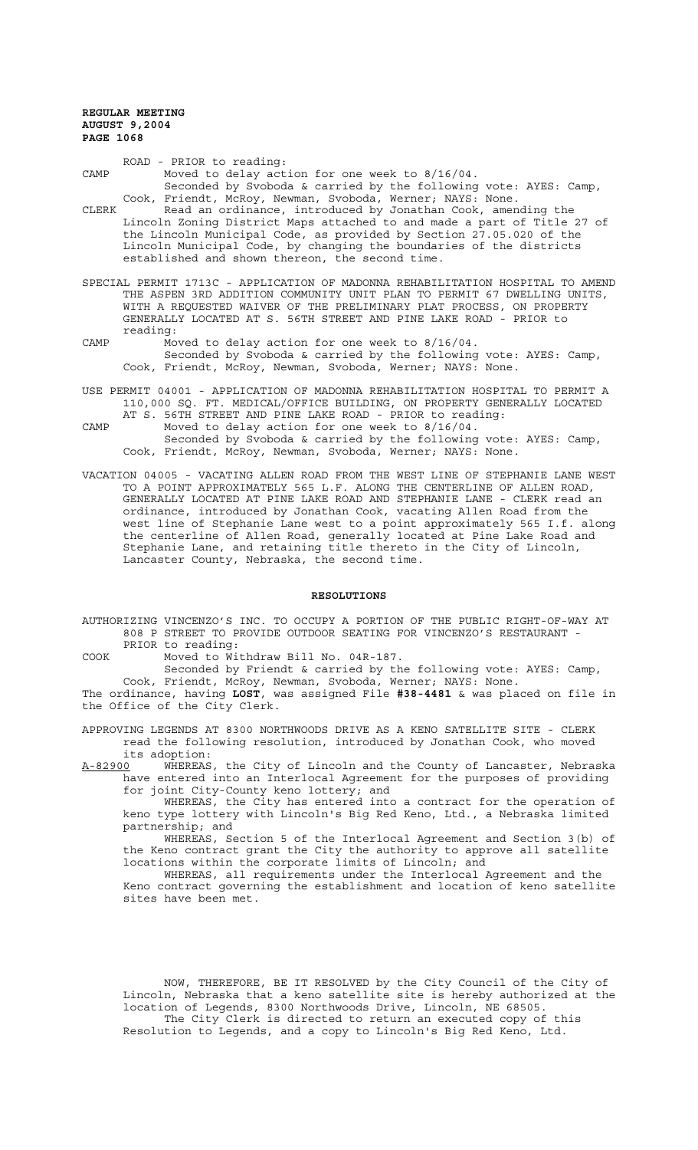ROAD - PRIOR to reading: CAMP Moved to delay action for one week to 8/16/04. Seconded by Svoboda & carried by the following vote: AYES: Camp, Cook, Friendt, McRoy, Newman, Svoboda, Werner; NAYS: None.

CLERK Read an ordinance, introduced by Jonathan Cook, amending the Lincoln Zoning District Maps attached to and made a part of Title 27 of the Lincoln Municipal Code, as provided by Section 27.05.020 of the Lincoln Municipal Code, by changing the boundaries of the districts established and shown thereon, the second time.

SPECIAL PERMIT 1713C - APPLICATION OF MADONNA REHABILITATION HOSPITAL TO AMEND THE ASPEN 3RD ADDITION COMMUNITY UNIT PLAN TO PERMIT 67 DWELLING UNITS, WITH A REQUESTED WAIVER OF THE PRELIMINARY PLAT PROCESS, ON PROPERTY GENERALLY LOCATED AT S. 56TH STREET AND PINE LAKE ROAD - PRIOR to reading:

- CAMP Moved to delay action for one week to 8/16/04. Seconded by Svoboda & carried by the following vote: AYES: Camp, Cook, Friendt, McRoy, Newman, Svoboda, Werner; NAYS: None.
- USE PERMIT 04001 APPLICATION OF MADONNA REHABILITATION HOSPITAL TO PERMIT A 110,000 SQ. FT. MEDICAL/OFFICE BUILDING, ON PROPERTY GENERALLY LOCATED AT S. 56TH STREET AND PINE LAKE ROAD - PRIOR to reading:
- CAMP Moved to delay action for one week to 8/16/04. Seconded by Svoboda & carried by the following vote: AYES: Camp, Cook, Friendt, McRoy, Newman, Svoboda, Werner; NAYS: None.
- VACATION 04005 VACATING ALLEN ROAD FROM THE WEST LINE OF STEPHANIE LANE WEST TO A POINT APPROXIMATELY 565 L.F. ALONG THE CENTERLINE OF ALLEN ROAD, GENERALLY LOCATED AT PINE LAKE ROAD AND STEPHANIE LANE - CLERK read an ordinance, introduced by Jonathan Cook, vacating Allen Road from the west line of Stephanie Lane west to a point approximately 565 I.f. along the centerline of Allen Road, generally located at Pine Lake Road and Stephanie Lane, and retaining title thereto in the City of Lincoln, Lancaster County, Nebraska, the second time.

#### **RESOLUTIONS**

- AUTHORIZING VINCENZO'S INC. TO OCCUPY A PORTION OF THE PUBLIC RIGHT-OF-WAY AT 808 P STREET TO PROVIDE OUTDOOR SEATING FOR VINCENZO'S RESTAURANT - PRIOR to reading:
- COOK Moved to Withdraw Bill No. 04R-187.

Seconded by Friendt & carried by the following vote: AYES: Camp, Cook, Friendt, McRoy, Newman, Svoboda, Werner; NAYS: None.

The ordinance, having **LOST**, was assigned File **#38-4481** & was placed on file in the Office of the City Clerk.

APPROVING LEGENDS AT 8300 NORTHWOODS DRIVE AS A KENO SATELLITE SITE - CLERK read the following resolution, introduced by Jonathan Cook, who moved its adoption:

A-82900 WHEREAS, the City of Lincoln and the County of Lancaster, Nebraska have entered into an Interlocal Agreement for the purposes of providing for joint City-County keno lottery; and

WHEREAS, the City has entered into a contract for the operation of keno type lottery with Lincoln's Big Red Keno, Ltd., a Nebraska limited partnership; and

WHEREAS, Section 5 of the Interlocal Agreement and Section 3(b) of the Keno contract grant the City the authority to approve all satellite locations within the corporate limits of Lincoln; and

WHEREAS, all requirements under the Interlocal Agreement and the Keno contract governing the establishment and location of keno satellite sites have been met.

NOW, THEREFORE, BE IT RESOLVED by the City Council of the City of Lincoln, Nebraska that a keno satellite site is hereby authorized at the location of Legends, 8300 Northwoods Drive, Lincoln, NE 68505. The City Clerk is directed to return an executed copy of this Resolution to Legends, and a copy to Lincoln's Big Red Keno, Ltd.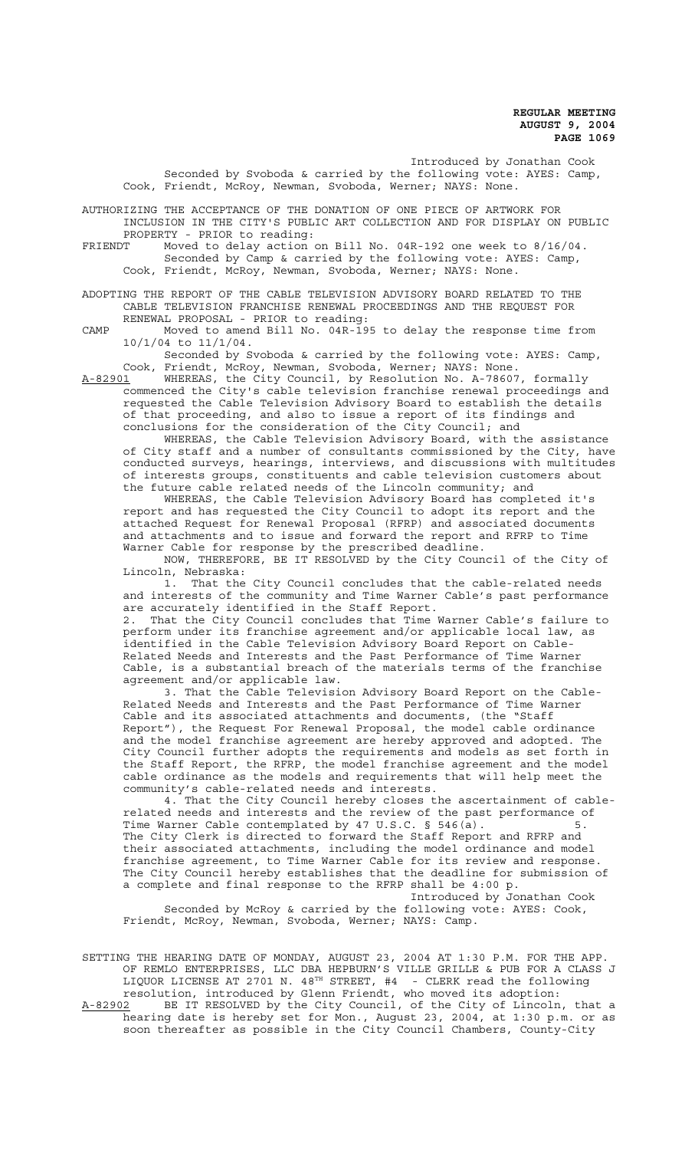Introduced by Jonathan Cook Seconded by Svoboda & carried by the following vote: AYES: Camp, Cook, Friendt, McRoy, Newman, Svoboda, Werner; NAYS: None.

AUTHORIZING THE ACCEPTANCE OF THE DONATION OF ONE PIECE OF ARTWORK FOR INCLUSION IN THE CITY'S PUBLIC ART COLLECTION AND FOR DISPLAY ON PUBLIC

PROPERTY - PRIOR to reading:<br>FRIENDT Moved to delay action FRIENDT Moved to delay action on Bill No. 04R-192 one week to 8/16/04. Seconded by Camp & carried by the following vote: AYES: Camp, Cook, Friendt, McRoy, Newman, Svoboda, Werner; NAYS: None.

ADOPTING THE REPORT OF THE CABLE TELEVISION ADVISORY BOARD RELATED TO THE CABLE TELEVISION FRANCHISE RENEWAL PROCEEDINGS AND THE REQUEST FOR RENEWAL PROPOSAL - PRIOR to reading:

CAMP Moved to amend Bill No. 04R-195 to delay the response time from 10/1/04 to 11/1/04.

Seconded by Svoboda & carried by the following vote: AYES: Camp, Cook, Friendt, McRoy, Newman, Svoboda, Werner; NAYS: None.

A-82901 WHEREAS, the City Council, by Resolution No. A-78607, formally commenced the City's cable television franchise renewal proceedings and requested the Cable Television Advisory Board to establish the details of that proceeding, and also to issue a report of its findings and conclusions for the consideration of the City Council; and

WHEREAS, the Cable Television Advisory Board, with the assistance of City staff and a number of consultants commissioned by the City, have conducted surveys, hearings, interviews, and discussions with multitudes of interests groups, constituents and cable television customers about the future cable related needs of the Lincoln community; and

WHEREAS, the Cable Television Advisory Board has completed it's report and has requested the City Council to adopt its report and the attached Request for Renewal Proposal (RFRP) and associated documents and attachments and to issue and forward the report and RFRP to Time Warner Cable for response by the prescribed deadline.

NOW, THEREFORE, BE IT RESOLVED by the City Council of the City of Lincoln, Nebraska:

1. That the City Council concludes that the cable-related needs and interests of the community and Time Warner Cable's past performance are accurately identified in the Staff Report.

2. That the City Council concludes that Time Warner Cable's failure to perform under its franchise agreement and/or applicable local law, as identified in the Cable Television Advisory Board Report on Cable-Related Needs and Interests and the Past Performance of Time Warner Cable, is a substantial breach of the materials terms of the franchise agreement and/or applicable law.

3. That the Cable Television Advisory Board Report on the Cable-Related Needs and Interests and the Past Performance of Time Warner Cable and its associated attachments and documents, (the "Staff Report"), the Request For Renewal Proposal, the model cable ordinance and the model franchise agreement are hereby approved and adopted. The City Council further adopts the requirements and models as set forth in the Staff Report, the RFRP, the model franchise agreement and the model cable ordinance as the models and requirements that will help meet the community's cable-related needs and interests.

4. That the City Council hereby closes the ascertainment of cablerelated needs and interests and the review of the past performance of Time Warner Cable contemplated by 47 U.S.C.  $\S$  546(a).  $\qquad \qquad$  5. The City Clerk is directed to forward the Staff Report and RFRP and their associated attachments, including the model ordinance and model franchise agreement, to Time Warner Cable for its review and response. The City Council hereby establishes that the deadline for submission of a complete and final response to the RFRP shall be 4:00 p.

Introduced by Jonathan Cook Seconded by McRoy & carried by the following vote: AYES: Cook, Friendt, McRoy, Newman, Svoboda, Werner; NAYS: Camp.

SETTING THE HEARING DATE OF MONDAY, AUGUST 23, 2004 AT 1:30 P.M. FOR THE APP. OF REMLO ENTERPRISES, LLC DBA HEPBURN'S VILLE GRILLE & PUB FOR A CLASS J LIQUOR LICENSE AT 2701 N.  $48^{\text{TH}}$  STREET, #4 - CLERK read the following resolution, introduced by Glenn Friendt, who moved its adoption: A-82902 BE IT RESOLVED by the City Council, of the City of Lincoln, that a hearing date is hereby set for Mon., August 23, 2004, at 1:30 p.m. or as soon thereafter as possible in the City Council Chambers, County-City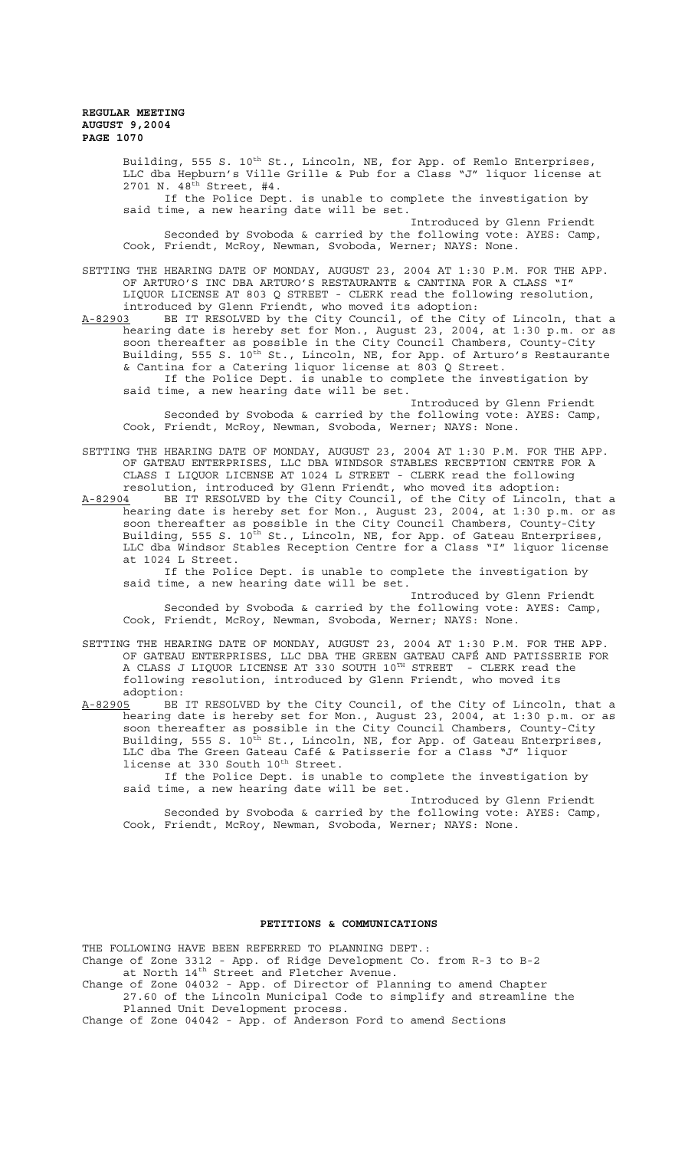Building, 555 S. 10<sup>th</sup> St., Lincoln, NE, for App. of Remlo Enterprises, LLC dba Hepburn's Ville Grille & Pub for a Class "J" liquor license at 2701 N. 48th Street, #4. If the Police Dept. is unable to complete the investigation by said time, a new hearing date will be set. Introduced by Glenn Friendt Seconded by Svoboda & carried by the following vote: AYES: Camp, Cook, Friendt, McRoy, Newman, Svoboda, Werner; NAYS: None. SETTING THE HEARING DATE OF MONDAY, AUGUST 23, 2004 AT 1:30 P.M. FOR THE APP. OF ARTURO'S INC DBA ARTURO'S RESTAURANTE & CANTINA FOR A CLASS "I" LIQUOR LICENSE AT 803 Q STREET - CLERK read the following resolution, introduced by Glenn Friendt, who moved its adoption:<br>A-82903 BE IT RESOLVED by the City Council, of the City BE IT RESOLVED by the City Council, of the City of Lincoln, that a hearing date is hereby set for Mon., August 23, 2004, at 1:30 p.m. or as soon thereafter as possible in the City Council Chambers, County-City Building, 555 S. 10<sup>th</sup> St., Lincoln, NE, for App. of Arturo's Restaurante & Cantina for a Catering liquor license at 803 Q Street. If the Police Dept. is unable to complete the investigation by said time, a new hearing date will be set. Introduced by Glenn Friendt Seconded by Svoboda & carried by the following vote: AYES: Camp, Cook, Friendt, McRoy, Newman, Svoboda, Werner; NAYS: None. SETTING THE HEARING DATE OF MONDAY, AUGUST 23, 2004 AT 1:30 P.M. FOR THE APP. OF GATEAU ENTERPRISES, LLC DBA WINDSOR STABLES RECEPTION CENTRE FOR A CLASS I LIQUOR LICENSE AT 1024 L STREET - CLERK read the following

resolution, introduced by Glenn Friendt, who moved its adoption: A-82904 BE IT RESOLVED by the City Council, of the City of Lincoln, that a hearing date is hereby set for Mon., August 23, 2004, at 1:30 p.m. or as soon thereafter as possible in the City Council Chambers, County-City Building, 555 S. 10<sup>th</sup> St., Lincoln, NE, for App. of Gateau Enterprises, LLC dba Windsor Stables Reception Centre for a Class "I" liquor license at 1024 L Street.

If the Police Dept. is unable to complete the investigation by said time, a new hearing date will be set.

Introduced by Glenn Friendt Seconded by Svoboda & carried by the following vote: AYES: Camp, Cook, Friendt, McRoy, Newman, Svoboda, Werner; NAYS: None.

SETTING THE HEARING DATE OF MONDAY, AUGUST 23, 2004 AT 1:30 P.M. FOR THE APP. OF GATEAU ENTERPRISES, LLC DBA THE GREEN GATEAU CAFÉ AND PATISSERIE FOR A CLASS J LIQUOR LICENSE AT 330 SOUTH  $10^{\text{\tiny{TH}}}$  STREET  $\,$  - CLERK read the following resolution, introduced by Glenn Friendt, who moved its adoption:

A-82905 BE IT RESOLVED by the City Council, of the City of Lincoln, that a hearing date is hereby set for Mon., August 23, 2004, at 1:30 p.m. or as soon thereafter as possible in the City Council Chambers, County-City Building, 555 S. 10<sup>th</sup> St., Lincoln, NE, for App. of Gateau Enterprises, LLC dba The Green Gateau Café & Patisserie for a Class "J" liquor license at 330 South 10<sup>th</sup> Street.

If the Police Dept. is unable to complete the investigation by said time, a new hearing date will be set.

Introduced by Glenn Friendt Seconded by Svoboda & carried by the following vote: AYES: Camp, Cook, Friendt, McRoy, Newman, Svoboda, Werner; NAYS: None.

#### **PETITIONS & COMMUNICATIONS**

THE FOLLOWING HAVE BEEN REFERRED TO PLANNING DEPT.: Change of Zone 3312 - App. of Ridge Development Co. from R-3 to B-2 at North 14<sup>th</sup> Street and Fletcher Avenue.

Change of Zone 04032 - App. of Director of Planning to amend Chapter 27.60 of the Lincoln Municipal Code to simplify and streamline the

Planned Unit Development process. Change of Zone 04042 - App. of Anderson Ford to amend Sections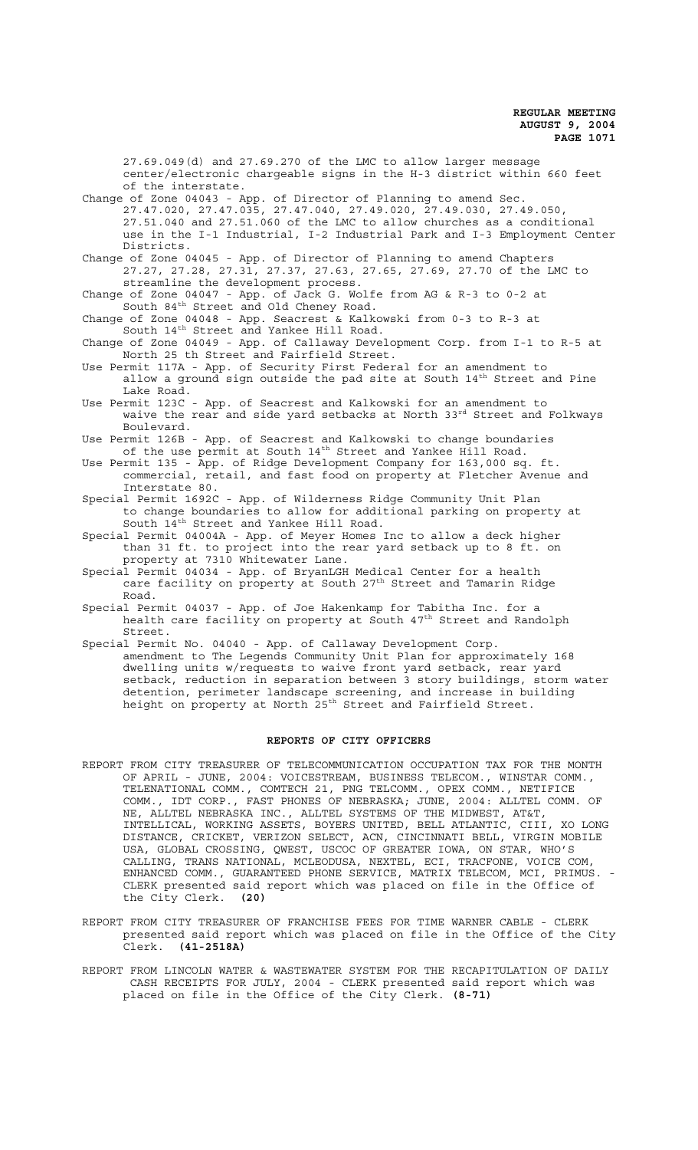27.69.049(d) and 27.69.270 of the LMC to allow larger message center/electronic chargeable signs in the H-3 district within 660 feet of the interstate.

Change of Zone 04043 - App. of Director of Planning to amend Sec. 27.47.020, 27.47.035, 27.47.040, 27.49.020, 27.49.030, 27.49.050, 27.51.040 and 27.51.060 of the LMC to allow churches as a conditional use in the I-1 Industrial, I-2 Industrial Park and I-3 Employment Center Districts.

Change of Zone 04045 - App. of Director of Planning to amend Chapters 27.27, 27.28, 27.31, 27.37, 27.63, 27.65, 27.69, 27.70 of the LMC to streamline the development process.

Change of Zone 04047 - App. of Jack G. Wolfe from AG & R-3 to 0-2 at South 84th Street and Old Cheney Road.

Change of Zone 04048 - App. Seacrest & Kalkowski from 0-3 to R-3 at South 14<sup>th</sup> Street and Yankee Hill Road.

Change of Zone 04049 - App. of Callaway Development Corp. from I-1 to R-5 at North 25 th Street and Fairfield Street.

Use Permit 117A - App. of Security First Federal for an amendment to allow a ground sign outside the pad site at South 14<sup>th</sup> Street and Pine Lake Road.

Use Permit 123C - App. of Seacrest and Kalkowski for an amendment to waive the rear and side yard setbacks at North 33rd Street and Folkways Boulevard.

Use Permit 126B - App. of Seacrest and Kalkowski to change boundaries of the use permit at South 14<sup>th</sup> Street and Yankee Hill Road.

Use Permit 135 - App. of Ridge Development Company for 163,000 sq. ft. commercial, retail, and fast food on property at Fletcher Avenue and Interstate 80.

Special Permit 1692C - App. of Wilderness Ridge Community Unit Plan to change boundaries to allow for additional parking on property at South 14<sup>th</sup> Street and Yankee Hill Road.

Special Permit 04004A - App. of Meyer Homes Inc to allow a deck higher than 31 ft. to project into the rear yard setback up to 8 ft. on property at 7310 Whitewater Lane.

Special Permit 04034 - App. of BryanLGH Medical Center for a health care facility on property at South 27th Street and Tamarin Ridge Road.

Special Permit 04037 - App. of Joe Hakenkamp for Tabitha Inc. for a health care facility on property at South 47<sup>th</sup> Street and Randolph Street.

Special Permit No. 04040 - App. of Callaway Development Corp.

amendment to The Legends Community Unit Plan for approximately 168 dwelling units w/requests to waive front yard setback, rear yard setback, reduction in separation between 3 story buildings, storm water detention, perimeter landscape screening, and increase in building height on property at North 25<sup>th</sup> Street and Fairfield Street.

#### **REPORTS OF CITY OFFICERS**

REPORT FROM CITY TREASURER OF TELECOMMUNICATION OCCUPATION TAX FOR THE MONTH OF APRIL - JUNE, 2004: VOICESTREAM, BUSINESS TELECOM., WINSTAR COMM., TELENATIONAL COMM., COMTECH 21, PNG TELCOMM., OPEX COMM., NETIFICE COMM., IDT CORP., FAST PHONES OF NEBRASKA; JUNE, 2004: ALLTEL COMM. OF NE, ALLTEL NEBRASKA INC., ALLTEL SYSTEMS OF THE MIDWEST, AT&T, INTELLICAL, WORKING ASSETS, BOYERS UNITED, BELL ATLANTIC, CIII, XO LONG DISTANCE, CRICKET, VERIZON SELECT, ACN, CINCINNATI BELL, VIRGIN MOBILE USA, GLOBAL CROSSING, QWEST, USCOC OF GREATER IOWA, ON STAR, WHO'S CALLING, TRANS NATIONAL, MCLEODUSA, NEXTEL, ECI, TRACFONE, VOICE COM, ENHANCED COMM., GUARANTEED PHONE SERVICE, MATRIX TELECOM, MCI, PRIMUS. - CLERK presented said report which was placed on file in the Office of the City Clerk. **(20)**

REPORT FROM CITY TREASURER OF FRANCHISE FEES FOR TIME WARNER CABLE - CLERK presented said report which was placed on file in the Office of the City Clerk. **(41-2518A)**

REPORT FROM LINCOLN WATER & WASTEWATER SYSTEM FOR THE RECAPITULATION OF DAILY CASH RECEIPTS FOR JULY, 2004 - CLERK presented said report which was placed on file in the Office of the City Clerk. **(8-71)**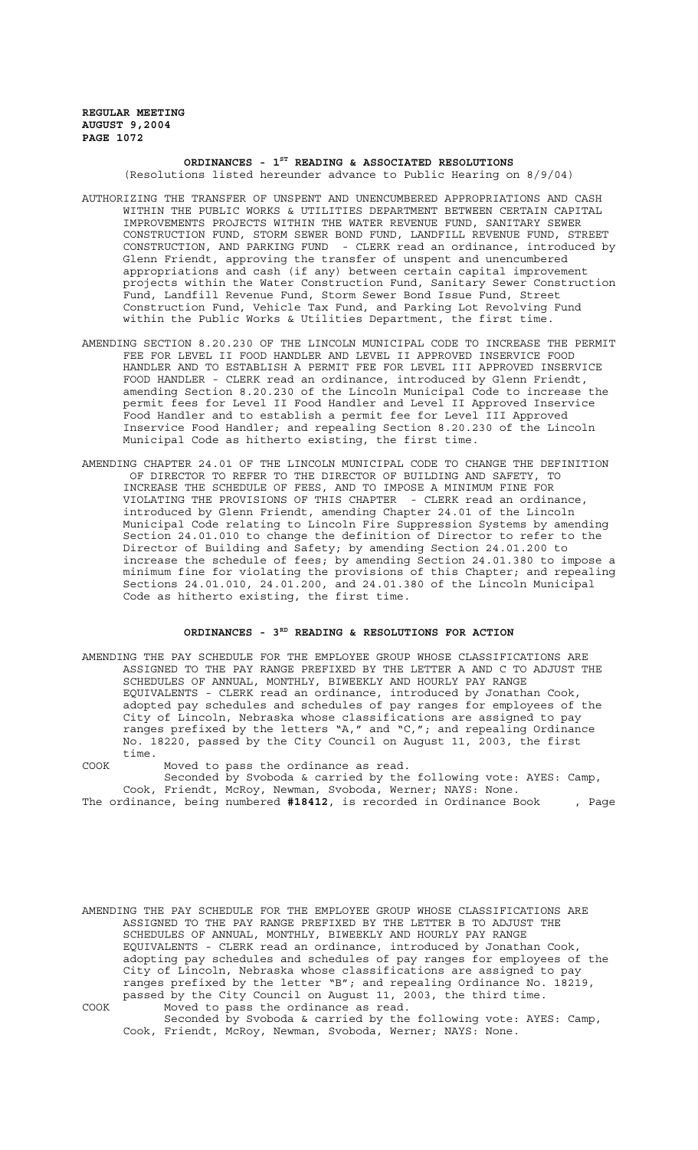## **ORDINANCES - 1ST READING & ASSOCIATED RESOLUTIONS** (Resolutions listed hereunder advance to Public Hearing on 8/9/04)

- AUTHORIZING THE TRANSFER OF UNSPENT AND UNENCUMBERED APPROPRIATIONS AND CASH WITHIN THE PUBLIC WORKS & UTILITIES DEPARTMENT BETWEEN CERTAIN CAPITAL IMPROVEMENTS PROJECTS WITHIN THE WATER REVENUE FUND, SANITARY SEWER CONSTRUCTION FUND, STORM SEWER BOND FUND, LANDFILL REVENUE FUND, STREET CONSTRUCTION, AND PARKING FUND - CLERK read an ordinance, introduced by Glenn Friendt, approving the transfer of unspent and unencumbered appropriations and cash (if any) between certain capital improvement projects within the Water Construction Fund, Sanitary Sewer Construction Fund, Landfill Revenue Fund, Storm Sewer Bond Issue Fund, Street Construction Fund, Vehicle Tax Fund, and Parking Lot Revolving Fund within the Public Works & Utilities Department, the first time.
- AMENDING SECTION 8.20.230 OF THE LINCOLN MUNICIPAL CODE TO INCREASE THE PERMIT FEE FOR LEVEL II FOOD HANDLER AND LEVEL II APPROVED INSERVICE FOOD HANDLER AND TO ESTABLISH A PERMIT FEE FOR LEVEL III APPROVED INSERVICE FOOD HANDLER - CLERK read an ordinance, introduced by Glenn Friendt, amending Section 8.20.230 of the Lincoln Municipal Code to increase the permit fees for Level II Food Handler and Level II Approved Inservice Food Handler and to establish a permit fee for Level III Approved Inservice Food Handler; and repealing Section 8.20.230 of the Lincoln Municipal Code as hitherto existing, the first time.
- AMENDING CHAPTER 24.01 OF THE LINCOLN MUNICIPAL CODE TO CHANGE THE DEFINITION OF DIRECTOR TO REFER TO THE DIRECTOR OF BUILDING AND SAFETY, TO INCREASE THE SCHEDULE OF FEES, AND TO IMPOSE A MINIMUM FINE FOR VIOLATING THE PROVISIONS OF THIS CHAPTER - CLERK read an ordinance, introduced by Glenn Friendt, amending Chapter 24.01 of the Lincoln Municipal Code relating to Lincoln Fire Suppression Systems by amending Section 24.01.010 to change the definition of Director to refer to the Director of Building and Safety; by amending Section 24.01.200 to increase the schedule of fees; by amending Section 24.01.380 to impose a minimum fine for violating the provisions of this Chapter; and repealing Sections 24.01.010, 24.01.200, and 24.01.380 of the Lincoln Municipal Code as hitherto existing, the first time.

# ORDINANCES - 3<sup>RD</sup> READING & RESOLUTIONS FOR ACTION

AMENDING THE PAY SCHEDULE FOR THE EMPLOYEE GROUP WHOSE CLASSIFICATIONS ARE ASSIGNED TO THE PAY RANGE PREFIXED BY THE LETTER A AND C TO ADJUST THE SCHEDULES OF ANNUAL, MONTHLY, BIWEEKLY AND HOURLY PAY RANGE EQUIVALENTS - CLERK read an ordinance, introduced by Jonathan Cook, adopted pay schedules and schedules of pay ranges for employees of the City of Lincoln, Nebraska whose classifications are assigned to pay ranges prefixed by the letters "A," and "C,"; and repealing Ordinance No. 18220, passed by the City Council on August 11, 2003, the first time.

COOK Moved to pass the ordinance as read. Seconded by Svoboda & carried by the following vote: AYES: Camp, Cook, Friendt, McRoy, Newman, Svoboda, Werner; NAYS: None.

The ordinance, being numbered **#18412**, is recorded in Ordinance Book , Page

AMENDING THE PAY SCHEDULE FOR THE EMPLOYEE GROUP WHOSE CLASSIFICATIONS ARE ASSIGNED TO THE PAY RANGE PREFIXED BY THE LETTER B TO ADJUST THE SCHEDULES OF ANNUAL, MONTHLY, BIWEEKLY AND HOURLY PAY RANGE EQUIVALENTS - CLERK read an ordinance, introduced by Jonathan Cook, adopting pay schedules and schedules of pay ranges for employees of the City of Lincoln, Nebraska whose classifications are assigned to pay ranges prefixed by the letter "B"; and repealing Ordinance No. 18219, passed by the City Council on August 11, 2003, the third time. COOK Moved to pass the ordinance as read. Seconded by Svoboda & carried by the following vote: AYES: Camp,

Cook, Friendt, McRoy, Newman, Svoboda, Werner; NAYS: None.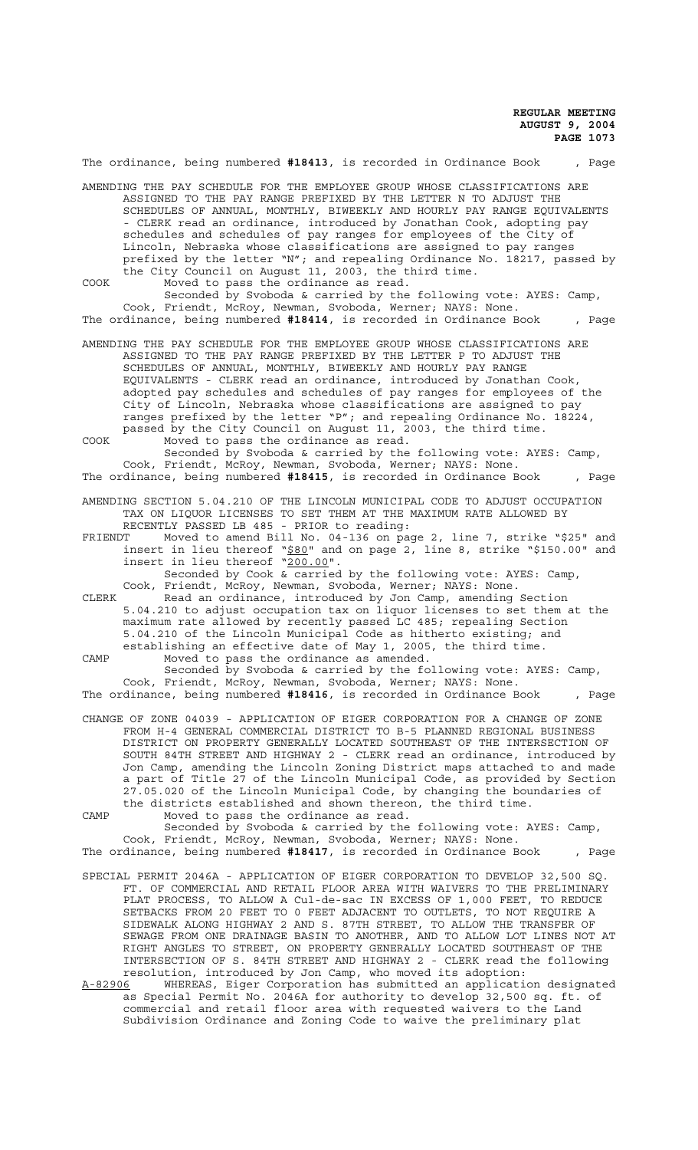|         | The ordinance, being numbered #18413, is recorded in Ordinance Book                                                                                                                                         |  |                                         |  |                                                                                                                                                                                                                                                                                                                                                                                                                                                                                                                                                                                                                                                                                      | , Page |
|---------|-------------------------------------------------------------------------------------------------------------------------------------------------------------------------------------------------------------|--|-----------------------------------------|--|--------------------------------------------------------------------------------------------------------------------------------------------------------------------------------------------------------------------------------------------------------------------------------------------------------------------------------------------------------------------------------------------------------------------------------------------------------------------------------------------------------------------------------------------------------------------------------------------------------------------------------------------------------------------------------------|--------|
|         | AMENDING THE PAY SCHEDULE FOR THE EMPLOYEE GROUP WHOSE CLASSIFICATIONS ARE<br>the City Council on August 11, 2003, the third time.                                                                          |  |                                         |  | ASSIGNED TO THE PAY RANGE PREFIXED BY THE LETTER N TO ADJUST THE<br>SCHEDULES OF ANNUAL, MONTHLY, BIWEEKLY AND HOURLY PAY RANGE EQUIVALENTS<br>- CLERK read an ordinance, introduced by Jonathan Cook, adopting pay<br>schedules and schedules of pay ranges for employees of the City of<br>Lincoln, Nebraska whose classifications are assigned to pay ranges<br>prefixed by the letter "N"; and repealing Ordinance No. 18217, passed by                                                                                                                                                                                                                                          |        |
| COOK    | Cook, Friendt, McRoy, Newman, Svoboda, Werner; NAYS: None.                                                                                                                                                  |  | Moved to pass the ordinance as read.    |  | Seconded by Svoboda & carried by the following vote: AYES: Camp,                                                                                                                                                                                                                                                                                                                                                                                                                                                                                                                                                                                                                     |        |
|         | The ordinance, being numbered #18414, is recorded in Ordinance Book                                                                                                                                         |  |                                         |  |                                                                                                                                                                                                                                                                                                                                                                                                                                                                                                                                                                                                                                                                                      | , Page |
|         | AMENDING THE PAY SCHEDULE FOR THE EMPLOYEE GROUP WHOSE CLASSIFICATIONS ARE<br>SCHEDULES OF ANNUAL, MONTHLY, BIWEEKLY AND HOURLY PAY RANGE<br>passed by the City Council on August 11, 2003, the third time. |  |                                         |  | ASSIGNED TO THE PAY RANGE PREFIXED BY THE LETTER P TO ADJUST THE<br>EQUIVALENTS - CLERK read an ordinance, introduced by Jonathan Cook,<br>adopted pay schedules and schedules of pay ranges for employees of the<br>City of Lincoln, Nebraska whose classifications are assigned to pay<br>ranges prefixed by the letter "P"; and repealing Ordinance No. 18224,                                                                                                                                                                                                                                                                                                                    |        |
| COOK    |                                                                                                                                                                                                             |  | Moved to pass the ordinance as read.    |  | Seconded by Svoboda & carried by the following vote: AYES: Camp,                                                                                                                                                                                                                                                                                                                                                                                                                                                                                                                                                                                                                     |        |
|         | Cook, Friendt, McRoy, Newman, Svoboda, Werner; NAYS: None.<br>The ordinance, being numbered #18415, is recorded in Ordinance Book                                                                           |  |                                         |  |                                                                                                                                                                                                                                                                                                                                                                                                                                                                                                                                                                                                                                                                                      | , Page |
|         | AMENDING SECTION 5.04.210 OF THE LINCOLN MUNICIPAL CODE TO ADJUST OCCUPATION                                                                                                                                |  |                                         |  | TAX ON LIQUOR LICENSES TO SET THEM AT THE MAXIMUM RATE ALLOWED BY                                                                                                                                                                                                                                                                                                                                                                                                                                                                                                                                                                                                                    |        |
| FRIENDT | RECENTLY PASSED LB 485 - PRIOR to reading:<br>insert in lieu thereof "200.00".                                                                                                                              |  |                                         |  | Moved to amend Bill No. 04-136 on page 2, line 7, strike "\$25" and<br>insert in lieu thereof "\$80" and on page 2, line 8, strike "\$150.00" and<br>Seconded by Cook & carried by the following vote: AYES: Camp,                                                                                                                                                                                                                                                                                                                                                                                                                                                                   |        |
| CLERK   | Cook, Friendt, McRoy, Newman, Svoboda, Werner; NAYS: None.                                                                                                                                                  |  |                                         |  | Read an ordinance, introduced by Jon Camp, amending Section<br>5.04.210 to adjust occupation tax on liquor licenses to set them at the<br>maximum rate allowed by recently passed LC 485; repealing Section<br>5.04.210 of the Lincoln Municipal Code as hitherto existing; and<br>establishing an effective date of May 1, 2005, the third time.                                                                                                                                                                                                                                                                                                                                    |        |
| CAMP    |                                                                                                                                                                                                             |  | Moved to pass the ordinance as amended. |  | Seconded by Svoboda & carried by the following vote: AYES: Camp,                                                                                                                                                                                                                                                                                                                                                                                                                                                                                                                                                                                                                     |        |
|         | Cook, Friendt, McRoy, Newman, Svoboda, Werner; NAYS: None.<br>The ordinance, being numbered #18416, is recorded in Ordinance Book                                                                           |  |                                         |  |                                                                                                                                                                                                                                                                                                                                                                                                                                                                                                                                                                                                                                                                                      | , Page |
| CAMP    | CHANGE OF ZONE 04039 - APPLICATION OF EIGER CORPORATION FOR A CHANGE OF ZONE<br>the districts established and shown thereon, the third time.<br>Cook, Friendt, McRoy, Newman, Svoboda, Werner; NAYS: None.  |  | Moved to pass the ordinance as read.    |  | FROM H-4 GENERAL COMMERCIAL DISTRICT TO B-5 PLANNED REGIONAL BUSINESS<br>DISTRICT ON PROPERTY GENERALLY LOCATED SOUTHEAST OF THE INTERSECTION OF<br>SOUTH 84TH STREET AND HIGHWAY 2 - CLERK read an ordinance, introduced by<br>Jon Camp, amending the Lincoln Zoning District maps attached to and made<br>a part of Title 27 of the Lincoln Municipal Code, as provided by Section<br>27.05.020 of the Lincoln Municipal Code, by changing the boundaries of<br>Seconded by Svoboda & carried by the following vote: AYES: Camp,                                                                                                                                                   |        |
|         | The ordinance, being numbered #18417, is recorded in Ordinance Book                                                                                                                                         |  |                                         |  |                                                                                                                                                                                                                                                                                                                                                                                                                                                                                                                                                                                                                                                                                      | , Page |
| A-82906 | SPECIAL PERMIT 2046A - APPLICATION OF EIGER CORPORATION TO DEVELOP 32,500 SQ.<br>resolution, introduced by Jon Camp, who moved its adoption:                                                                |  |                                         |  | FT. OF COMMERCIAL AND RETAIL FLOOR AREA WITH WAIVERS TO THE PRELIMINARY<br>PLAT PROCESS, TO ALLOW A Cul-de-sac IN EXCESS OF 1,000 FEET, TO REDUCE<br>SETBACKS FROM 20 FEET TO 0 FEET ADJACENT TO OUTLETS, TO NOT REQUIRE A<br>SIDEWALK ALONG HIGHWAY 2 AND S. 87TH STREET, TO ALLOW THE TRANSFER OF<br>SEWAGE FROM ONE DRAINAGE BASIN TO ANOTHER, AND TO ALLOW LOT LINES NOT AT<br>RIGHT ANGLES TO STREET, ON PROPERTY GENERALLY LOCATED SOUTHEAST OF THE<br>INTERSECTION OF S. 84TH STREET AND HIGHWAY 2 - CLERK read the following<br>WHEREAS, Eiger Corporation has submitted an application designated<br>as Special Permit No. 2046A for authority to develop 32,500 sq. ft. of |        |
|         |                                                                                                                                                                                                             |  |                                         |  | commercial and retail floor area with requested waivers to the Land<br>Subdivision Ordinance and Zoning Code to waive the preliminary plat                                                                                                                                                                                                                                                                                                                                                                                                                                                                                                                                           |        |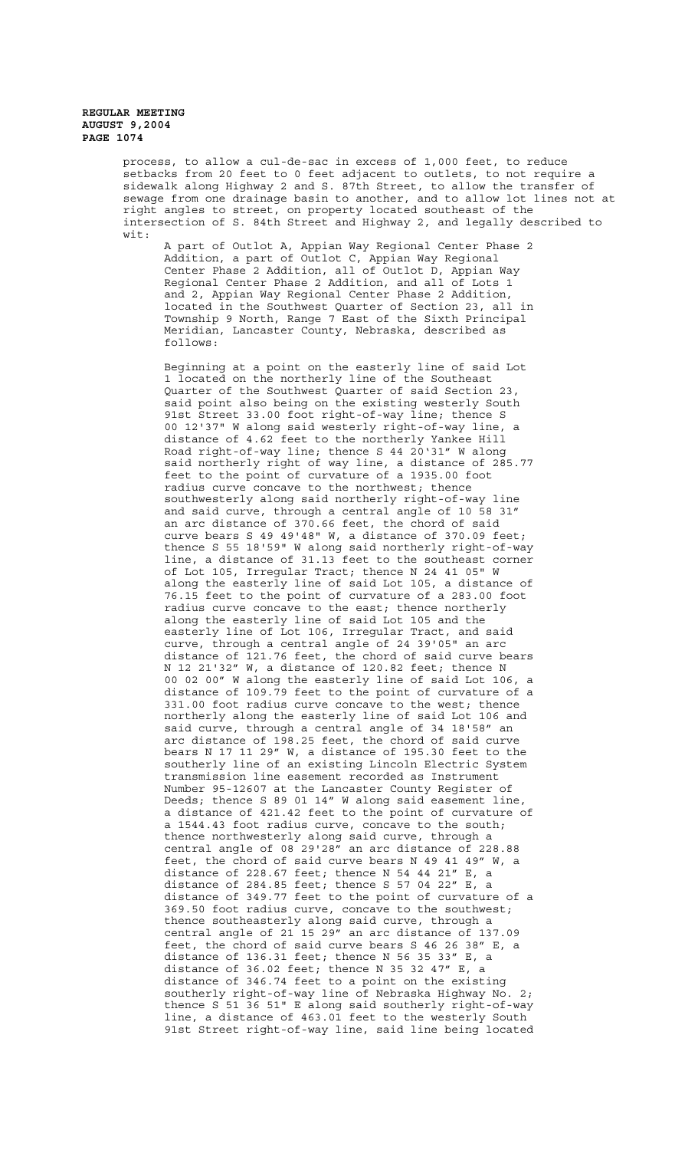process, to allow a cul-de-sac in excess of 1,000 feet, to reduce setbacks from 20 feet to 0 feet adjacent to outlets, to not require a sidewalk along Highway 2 and S. 87th Street, to allow the transfer of sewage from one drainage basin to another, and to allow lot lines not at right angles to street, on property located southeast of the intersection of S. 84th Street and Highway 2, and legally described to wit:

A part of Outlot A, Appian Way Regional Center Phase 2 Addition, a part of Outlot C, Appian Way Regional Center Phase 2 Addition, all of Outlot D, Appian Way Regional Center Phase 2 Addition, and all of Lots 1 and 2, Appian Way Regional Center Phase 2 Addition, located in the Southwest Quarter of Section 23, all in Township 9 North, Range 7 East of the Sixth Principal Meridian, Lancaster County, Nebraska, described as follows:

Beginning at a point on the easterly line of said Lot 1 located on the northerly line of the Southeast Quarter of the Southwest Quarter of said Section 23, said point also being on the existing westerly South 91st Street 33.00 foot right-of-way line; thence S 00 12'37" W along said westerly right-of-way line, a distance of 4.62 feet to the northerly Yankee Hill Road right-of-way line; thence S 44 20'31" W along said northerly right of way line, a distance of 285.77 feet to the point of curvature of a 1935.00 foot radius curve concave to the northwest; thence southwesterly along said northerly right-of-way line and said curve, through a central angle of 10 58 31" an arc distance of 370.66 feet, the chord of said curve bears S 49 49'48" W, a distance of 370.09 feet; thence S 55 18'59" W along said northerly right-of-way line, a distance of 31.13 feet to the southeast corner of Lot 105, Irregular Tract; thence N 24 41 05" W along the easterly line of said Lot 105, a distance of 76.15 feet to the point of curvature of a 283.00 foot radius curve concave to the east; thence northerly along the easterly line of said Lot 105 and the easterly line of Lot 106, Irregular Tract, and said curve, through a central angle of 24 39'05" an arc distance of 121.76 feet, the chord of said curve bears N 12 21'32" W, a distance of 120.82 feet; thence N 00 02 00" W along the easterly line of said Lot 106, a distance of 109.79 feet to the point of curvature of a 331.00 foot radius curve concave to the west; thence northerly along the easterly line of said Lot 106 and said curve, through a central angle of 34 18'58" an arc distance of 198.25 feet, the chord of said curve bears N 17 11 29" W, a distance of 195.30 feet to the southerly line of an existing Lincoln Electric System transmission line easement recorded as Instrument Number 95-12607 at the Lancaster County Register of Deeds; thence S 89 01 14" W along said easement line, a distance of 421.42 feet to the point of curvature of a 1544.43 foot radius curve, concave to the south; thence northwesterly along said curve, through a central angle of 08 29'28" an arc distance of 228.88 feet, the chord of said curve bears N 49 41 49" W, a distance of 228.67 feet; thence N 54 44 21" E, a distance of 284.85 feet; thence S 57 04 22" E, a distance of 349.77 feet to the point of curvature of a 369.50 foot radius curve, concave to the southwest; thence southeasterly along said curve, through a central angle of 21 15 29" an arc distance of 137.09 feet, the chord of said curve bears S 46 26 38" E, a distance of 136.31 feet; thence N 56 35 33" E, a distance of 36.02 feet; thence N 35 32 47" E, a distance of 346.74 feet to a point on the existing southerly right-of-way line of Nebraska Highway No. 2; thence S 51 36 51" E along said southerly right-of-way line, a distance of 463.01 feet to the westerly South 91st Street right-of-way line, said line being located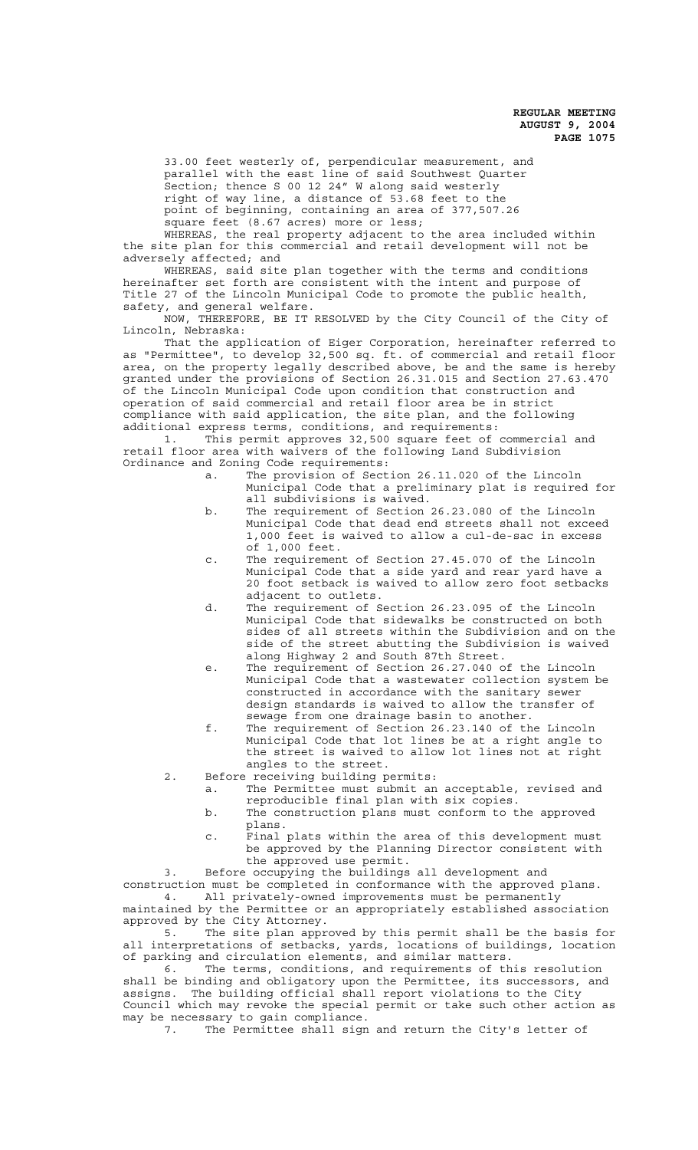33.00 feet westerly of, perpendicular measurement, and parallel with the east line of said Southwest Quarter Section; thence S 00 12 24" W along said westerly right of way line, a distance of 53.68 feet to the point of beginning, containing an area of 377,507.26 square feet (8.67 acres) more or less;

WHEREAS, the real property adjacent to the area included within the site plan for this commercial and retail development will not be adversely affected; and

WHEREAS, said site plan together with the terms and conditions hereinafter set forth are consistent with the intent and purpose of Title 27 of the Lincoln Municipal Code to promote the public health, safety, and general welfare.

NOW, THEREFORE, BE IT RESOLVED by the City Council of the City of Lincoln, Nebraska:

That the application of Eiger Corporation, hereinafter referred to as "Permittee", to develop 32,500 sq. ft. of commercial and retail floor area, on the property legally described above, be and the same is hereby granted under the provisions of Section 26.31.015 and Section 27.63.470 of the Lincoln Municipal Code upon condition that construction and operation of said commercial and retail floor area be in strict compliance with said application, the site plan, and the following additional express terms, conditions, and requirements:

1. This permit approves 32,500 square feet of commercial and retail floor area with waivers of the following Land Subdivision Ordinance and Zoning Code requirements:

- a. The provision of Section 26.11.020 of the Lincoln Municipal Code that a preliminary plat is required for all subdivisions is waived.
- b. The requirement of Section 26.23.080 of the Lincoln Municipal Code that dead end streets shall not exceed 1,000 feet is waived to allow a cul-de-sac in excess of 1,000 feet.
- c. The requirement of Section 27.45.070 of the Lincoln Municipal Code that a side yard and rear yard have a 20 foot setback is waived to allow zero foot setbacks adjacent to outlets.
- d. The requirement of Section 26.23.095 of the Lincoln Municipal Code that sidewalks be constructed on both sides of all streets within the Subdivision and on the side of the street abutting the Subdivision is waived along Highway 2 and South 87th Street.
- e. The requirement of Section 26.27.040 of the Lincoln Municipal Code that a wastewater collection system be constructed in accordance with the sanitary sewer design standards is waived to allow the transfer of sewage from one drainage basin to another.
- f. The requirement of Section 26.23.140 of the Lincoln Municipal Code that lot lines be at a right angle to the street is waived to allow lot lines not at right angles to the street.
- 2. Before receiving building permits:
	- a. The Permittee must submit an acceptable, revised and reproducible final plan with six copies.
	- b. The construction plans must conform to the approved plans.
	- c. Final plats within the area of this development must be approved by the Planning Director consistent with the approved use permit.

3. Before occupying the buildings all development and

construction must be completed in conformance with the approved plans. 4. All privately-owned improvements must be permanently

maintained by the Permittee or an appropriately established association approved by the City Attorney.

5. The site plan approved by this permit shall be the basis for all interpretations of setbacks, yards, locations of buildings, location of parking and circulation elements, and similar matters.

6. The terms, conditions, and requirements of this resolution shall be binding and obligatory upon the Permittee, its successors, and assigns. The building official shall report violations to the City Council which may revoke the special permit or take such other action as may be necessary to gain compliance.

7. The Permittee shall sign and return the City's letter of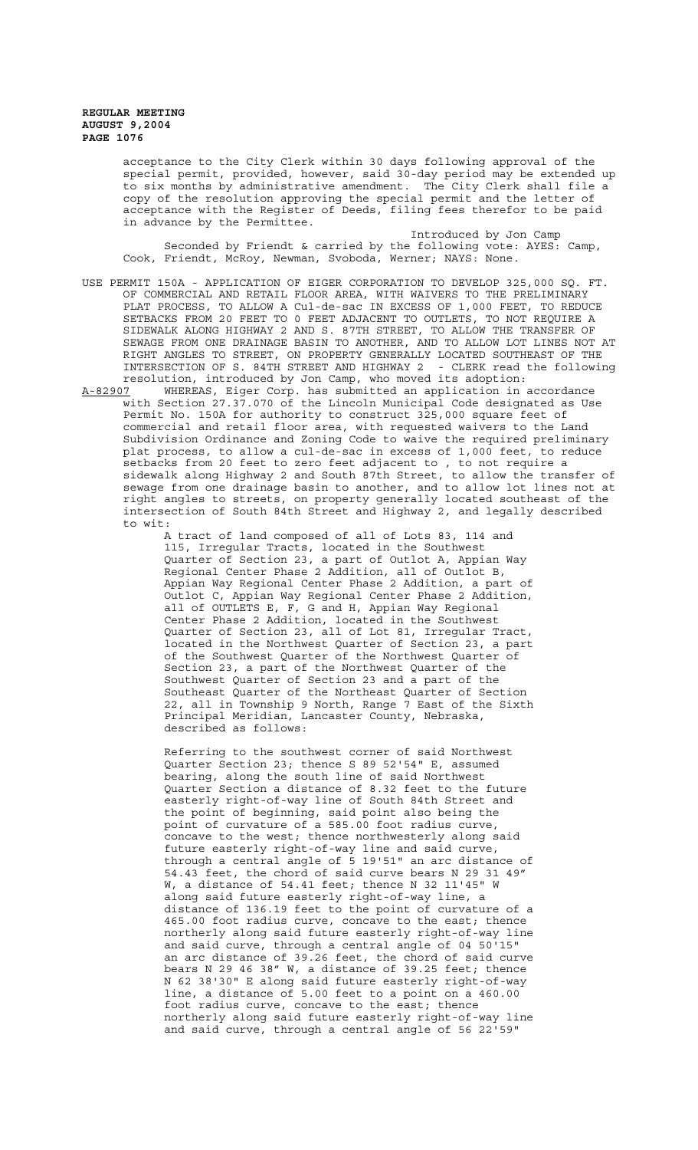> acceptance to the City Clerk within 30 days following approval of the special permit, provided, however, said 30-day period may be extended up to six months by administrative amendment. The City Clerk shall file a copy of the resolution approving the special permit and the letter of acceptance with the Register of Deeds, filing fees therefor to be paid in advance by the Permittee.

Introduced by Jon Camp Seconded by Friendt & carried by the following vote: AYES: Camp, Cook, Friendt, McRoy, Newman, Svoboda, Werner; NAYS: None.

- USE PERMIT 150A APPLICATION OF EIGER CORPORATION TO DEVELOP 325,000 SQ. FT. OF COMMERCIAL AND RETAIL FLOOR AREA, WITH WAIVERS TO THE PRELIMINARY PLAT PROCESS, TO ALLOW A Cul-de-sac IN EXCESS OF 1,000 FEET, TO REDUCE SETBACKS FROM 20 FEET TO 0 FEET ADJACENT TO OUTLETS, TO NOT REQUIRE A SIDEWALK ALONG HIGHWAY 2 AND S. 87TH STREET, TO ALLOW THE TRANSFER OF SEWAGE FROM ONE DRAINAGE BASIN TO ANOTHER, AND TO ALLOW LOT LINES NOT AT RIGHT ANGLES TO STREET, ON PROPERTY GENERALLY LOCATED SOUTHEAST OF THE INTERSECTION OF S. 84TH STREET AND HIGHWAY 2 - CLERK read the following resolution, introduced by Jon Camp, who moved its adoption:
- A-82907 WHEREAS, Eiger Corp. has submitted an application in accordance with Section 27.37.070 of the Lincoln Municipal Code designated as Use Permit No. 150A for authority to construct 325,000 square feet of commercial and retail floor area, with requested waivers to the Land Subdivision Ordinance and Zoning Code to waive the required preliminary plat process, to allow a cul-de-sac in excess of 1,000 feet, to reduce setbacks from 20 feet to zero feet adjacent to , to not require a sidewalk along Highway 2 and South 87th Street, to allow the transfer of sewage from one drainage basin to another, and to allow lot lines not at right angles to streets, on property generally located southeast of the intersection of South 84th Street and Highway 2, and legally described to wit:

A tract of land composed of all of Lots 83, 114 and 115, Irregular Tracts, located in the Southwest Quarter of Section 23, a part of Outlot A, Appian Way Regional Center Phase 2 Addition, all of Outlot B, Appian Way Regional Center Phase 2 Addition, a part of Outlot C, Appian Way Regional Center Phase 2 Addition, all of OUTLETS E, F, G and H, Appian Way Regional Center Phase 2 Addition, located in the Southwest Quarter of Section 23, all of Lot 81, Irregular Tract, located in the Northwest Quarter of Section 23, a part of the Southwest Quarter of the Northwest Quarter of Section 23, a part of the Northwest Quarter of the Southwest Quarter of Section 23 and a part of the Southeast Quarter of the Northeast Quarter of Section 22, all in Township 9 North, Range 7 East of the Sixth Principal Meridian, Lancaster County, Nebraska, described as follows:

Referring to the southwest corner of said Northwest Quarter Section 23; thence S 89 52'54" E, assumed bearing, along the south line of said Northwest Quarter Section a distance of 8.32 feet to the future easterly right-of-way line of South 84th Street and the point of beginning, said point also being the point of curvature of a 585.00 foot radius curve, concave to the west; thence northwesterly along said future easterly right-of-way line and said curve, through a central angle of 5 19'51" an arc distance of 54.43 feet, the chord of said curve bears N 29 31 49" W, a distance of 54.41 feet; thence N 32 11'45" W along said future easterly right-of-way line, a distance of 136.19 feet to the point of curvature of a 465.00 foot radius curve, concave to the east; thence northerly along said future easterly right-of-way line and said curve, through a central angle of 04 50'15" an arc distance of 39.26 feet, the chord of said curve bears N 29 46 38" W, a distance of 39.25 feet; thence N 62 38'30" E along said future easterly right-of-way line, a distance of 5.00 feet to a point on a 460.00 foot radius curve, concave to the east; thence northerly along said future easterly right-of-way line and said curve, through a central angle of 56 22'59"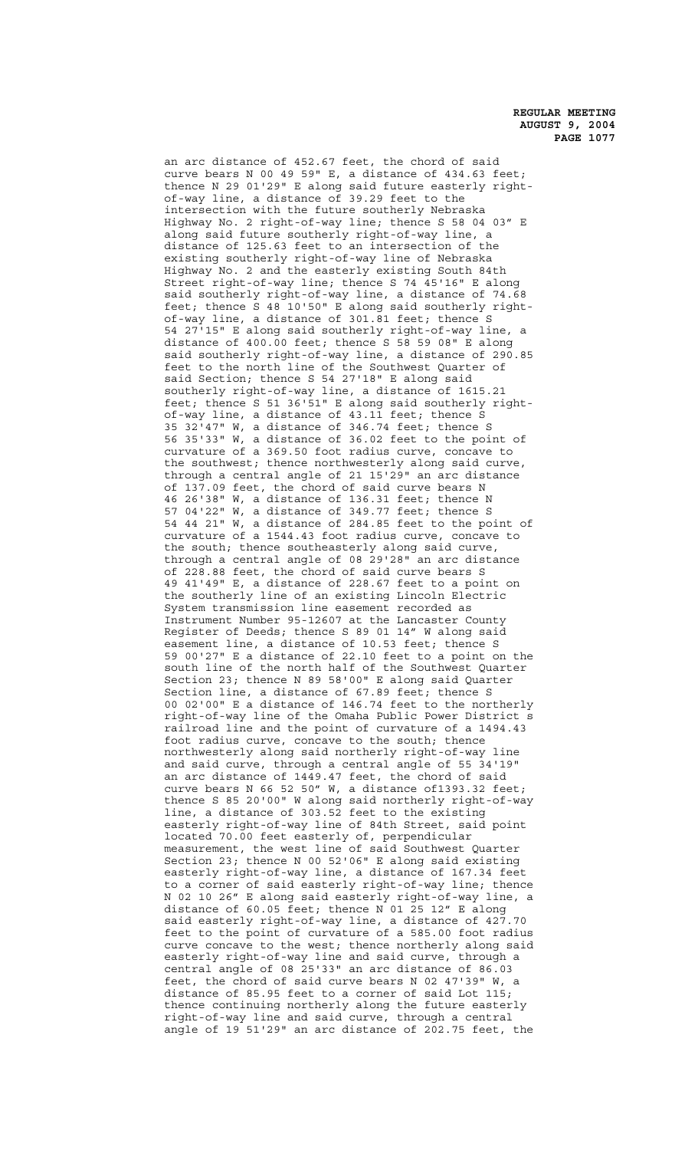an arc distance of 452.67 feet, the chord of said curve bears N 00 49 59" E, a distance of 434.63 feet; thence N 29 01'29" E along said future easterly rightof-way line, a distance of 39.29 feet to the intersection with the future southerly Nebraska Highway No. 2 right-of-way line; thence S 58 04 03" E along said future southerly right-of-way line, a distance of 125.63 feet to an intersection of the existing southerly right-of-way line of Nebraska Highway No. 2 and the easterly existing South 84th Street right-of-way line; thence S 74 45'16" E along said southerly right-of-way line, a distance of 74.68 feet; thence S 48 10'50" E along said southerly rightof-way line, a distance of 301.81 feet; thence S 54 27'15" E along said southerly right-of-way line, a distance of 400.00 feet; thence S 58 59 08" E along said southerly right-of-way line, a distance of 290.85 feet to the north line of the Southwest Quarter of said Section; thence S 54 27'18" E along said southerly right-of-way line, a distance of 1615.21 feet; thence S 51 36'51" E along said southerly rightof-way line, a distance of 43.11 feet; thence S 35 32'47" W, a distance of 346.74 feet; thence S 56 35'33" W, a distance of 36.02 feet to the point of curvature of a 369.50 foot radius curve, concave to the southwest; thence northwesterly along said curve, through a central angle of 21 15'29" an arc distance of 137.09 feet, the chord of said curve bears N 46 26'38" W, a distance of 136.31 feet; thence N 57 04'22" W, a distance of 349.77 feet; thence S 54 44 21" W, a distance of 284.85 feet to the point of curvature of a 1544.43 foot radius curve, concave to the south; thence southeasterly along said curve, through a central angle of 08 29'28" an arc distance of 228.88 feet, the chord of said curve bears S 49 41'49" E, a distance of 228.67 feet to a point on the southerly line of an existing Lincoln Electric System transmission line easement recorded as Instrument Number 95-12607 at the Lancaster County Register of Deeds; thence S 89 01 14" W along said easement line, a distance of 10.53 feet; thence S 59 00'27" E a distance of 22.10 feet to a point on the south line of the north half of the Southwest Quarter Section 23; thence N 89 58'00" E along said Quarter Section line, a distance of 67.89 feet; thence S 00 02'00" E a distance of 146.74 feet to the northerly right-of-way line of the Omaha Public Power District s railroad line and the point of curvature of a 1494.43 foot radius curve, concave to the south; thence northwesterly along said northerly right-of-way line and said curve, through a central angle of 55 34'19" an arc distance of 1449.47 feet, the chord of said curve bears N 66 52 50" W, a distance of1393.32 feet; thence S 85 20'00" W along said northerly right-of-way line, a distance of 303.52 feet to the existing easterly right-of-way line of 84th Street, said point located 70.00 feet easterly of, perpendicular measurement, the west line of said Southwest Quarter Section 23; thence N 00 52'06" E along said existing easterly right-of-way line, a distance of 167.34 feet to a corner of said easterly right-of-way line; thence N 02 10 26" E along said easterly right-of-way line, a distance of 60.05 feet; thence N 01 25 12" E along said easterly right-of-way line, a distance of 427.70 feet to the point of curvature of a 585.00 foot radius curve concave to the west; thence northerly along said easterly right-of-way line and said curve, through a central angle of 08 25'33" an arc distance of 86.03 feet, the chord of said curve bears N 02 47'39" W, a distance of 85.95 feet to a corner of said Lot 115; thence continuing northerly along the future easterly right-of-way line and said curve, through a central angle of 19 51'29" an arc distance of 202.75 feet, the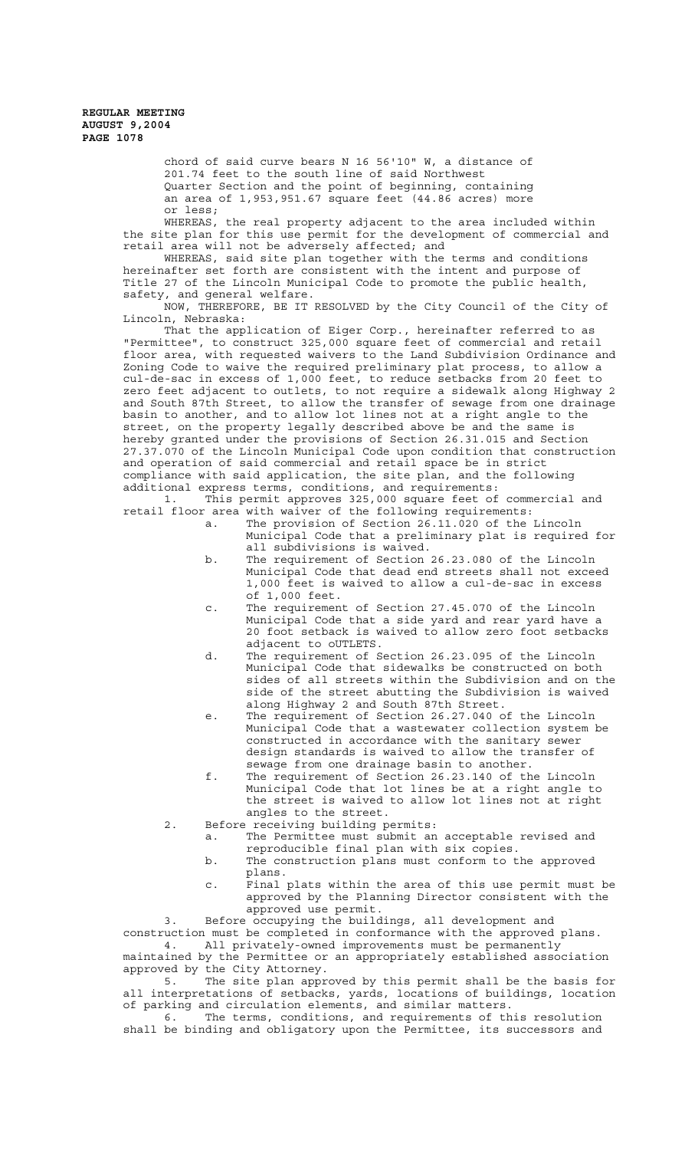> chord of said curve bears N 16 56'10" W, a distance of 201.74 feet to the south line of said Northwest Quarter Section and the point of beginning, containing an area of 1,953,951.67 square feet (44.86 acres) more or less;

WHEREAS, the real property adjacent to the area included within the site plan for this use permit for the development of commercial and retail area will not be adversely affected; and

WHEREAS, said site plan together with the terms and conditions hereinafter set forth are consistent with the intent and purpose of Title 27 of the Lincoln Municipal Code to promote the public health, safety, and general welfare.

NOW, THEREFORE, BE IT RESOLVED by the City Council of the City of Lincoln, Nebraska:

That the application of Eiger Corp., hereinafter referred to as "Permittee", to construct 325,000 square feet of commercial and retail floor area, with requested waivers to the Land Subdivision Ordinance and Zoning Code to waive the required preliminary plat process, to allow a cul-de-sac in excess of 1,000 feet, to reduce setbacks from 20 feet to zero feet adjacent to outlets, to not require a sidewalk along Highway 2 and South 87th Street, to allow the transfer of sewage from one drainage basin to another, and to allow lot lines not at a right angle to the street, on the property legally described above be and the same is hereby granted under the provisions of Section 26.31.015 and Section 27.37.070 of the Lincoln Municipal Code upon condition that construction and operation of said commercial and retail space be in strict compliance with said application, the site plan, and the following additional express terms, conditions, and requirements:

1. This permit approves 325,000 square feet of commercial and retail floor area with waiver of the following requirements:

- a. The provision of Section 26.11.020 of the Lincoln Municipal Code that a preliminary plat is required for all subdivisions is waived.
- b. The requirement of Section 26.23.080 of the Lincoln Municipal Code that dead end streets shall not exceed 1,000 feet is waived to allow a cul-de-sac in excess of 1,000 feet.
- c. The requirement of Section 27.45.070 of the Lincoln Municipal Code that a side yard and rear yard have a 20 foot setback is waived to allow zero foot setbacks adjacent to oUTLETS.
- d. The requirement of Section 26.23.095 of the Lincoln Municipal Code that sidewalks be constructed on both sides of all streets within the Subdivision and on the side of the street abutting the Subdivision is waived along Highway 2 and South 87th Street.
- e. The requirement of Section 26.27.040 of the Lincoln Municipal Code that a wastewater collection system be constructed in accordance with the sanitary sewer design standards is waived to allow the transfer of sewage from one drainage basin to another.
- f. The requirement of Section 26.23.140 of the Lincoln Municipal Code that lot lines be at a right angle to the street is waived to allow lot lines not at right angles to the street.
- 2. Before receiving building permits:
	- a. The Permittee must submit an acceptable revised and reproducible final plan with six copies.
	- b. The construction plans must conform to the approved plans.
	- c. Final plats within the area of this use permit must be approved by the Planning Director consistent with the approved use permit.

3. Before occupying the buildings, all development and construction must be completed in conformance with the approved plans. 4. All privately-owned improvements must be permanently maintained by the Permittee or an appropriately established association

approved by the City Attorney. 5. The site plan approved by this permit shall be the basis for

all interpretations of setbacks, yards, locations of buildings, location of parking and circulation elements, and similar matters.

6. The terms, conditions, and requirements of this resolution shall be binding and obligatory upon the Permittee, its successors and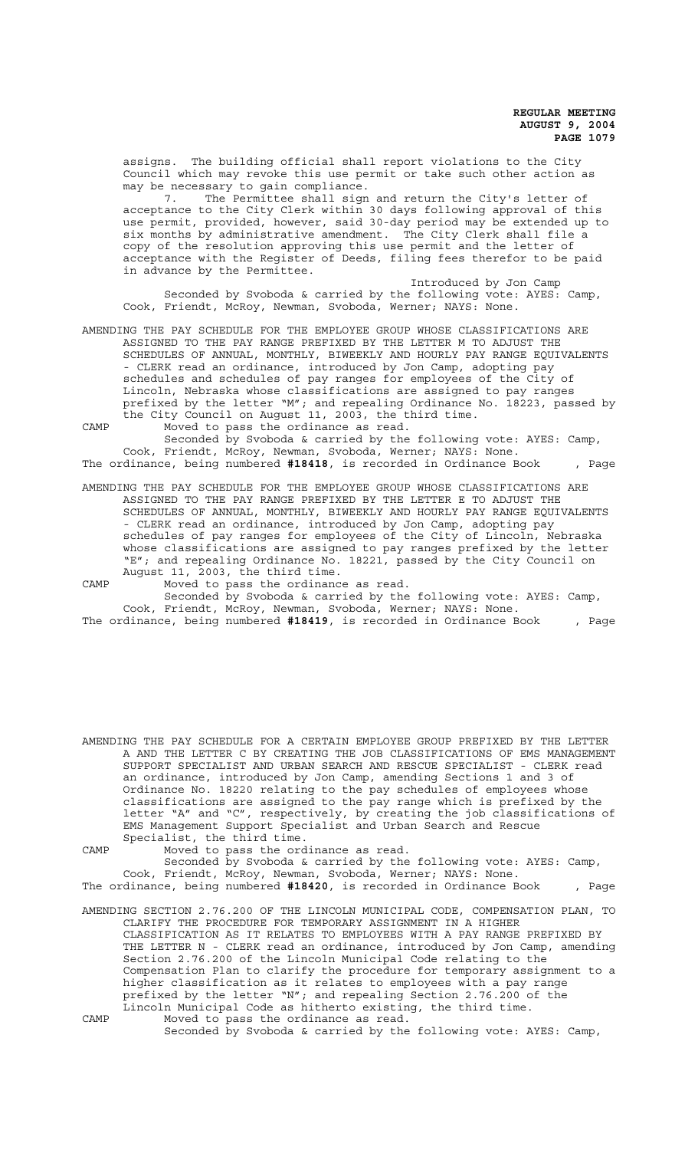assigns. The building official shall report violations to the City Council which may revoke this use permit or take such other action as may be necessary to gain compliance.

7. The Permittee shall sign and return the City's letter of acceptance to the City Clerk within 30 days following approval of this use permit, provided, however, said 30-day period may be extended up to six months by administrative amendment. The City Clerk shall file a copy of the resolution approving this use permit and the letter of acceptance with the Register of Deeds, filing fees therefor to be paid in advance by the Permittee.

Introduced by Jon Camp Seconded by Svoboda & carried by the following vote: AYES: Camp, Cook, Friendt, McRoy, Newman, Svoboda, Werner; NAYS: None.

AMENDING THE PAY SCHEDULE FOR THE EMPLOYEE GROUP WHOSE CLASSIFICATIONS ARE ASSIGNED TO THE PAY RANGE PREFIXED BY THE LETTER M TO ADJUST THE SCHEDULES OF ANNUAL, MONTHLY, BIWEEKLY AND HOURLY PAY RANGE EQUIVALENTS - CLERK read an ordinance, introduced by Jon Camp, adopting pay schedules and schedules of pay ranges for employees of the City of Lincoln, Nebraska whose classifications are assigned to pay ranges prefixed by the letter "M"; and repealing Ordinance No. 18223, passed by the City Council on August 11, 2003, the third time.

CAMP Moved to pass the ordinance as read.

Seconded by Svoboda & carried by the following vote: AYES: Camp, Cook, Friendt, McRoy, Newman, Svoboda, Werner; NAYS: None. The ordinance, being numbered **#18418**, is recorded in Ordinance Book , Page

AMENDING THE PAY SCHEDULE FOR THE EMPLOYEE GROUP WHOSE CLASSIFICATIONS ARE ASSIGNED TO THE PAY RANGE PREFIXED BY THE LETTER E TO ADJUST THE SCHEDULES OF ANNUAL, MONTHLY, BIWEEKLY AND HOURLY PAY RANGE EQUIVALENTS - CLERK read an ordinance, introduced by Jon Camp, adopting pay schedules of pay ranges for employees of the City of Lincoln, Nebraska whose classifications are assigned to pay ranges prefixed by the letter "E"; and repealing Ordinance No. 18221, passed by the City Council on August 11, 2003, the third time.

CAMP Moved to pass the ordinance as read. Seconded by Svoboda & carried by the following vote: AYES: Camp, Cook, Friendt, McRoy, Newman, Svoboda, Werner; NAYS: None. The ordinance, being numbered **#18419**, is recorded in Ordinance Book , Page

AMENDING THE PAY SCHEDULE FOR A CERTAIN EMPLOYEE GROUP PREFIXED BY THE LETTER A AND THE LETTER C BY CREATING THE JOB CLASSIFICATIONS OF EMS MANAGEMENT SUPPORT SPECIALIST AND URBAN SEARCH AND RESCUE SPECIALIST - CLERK read an ordinance, introduced by Jon Camp, amending Sections 1 and 3 of Ordinance No. 18220 relating to the pay schedules of employees whose classifications are assigned to the pay range which is prefixed by the letter "A" and "C", respectively, by creating the job classifications of EMS Management Support Specialist and Urban Search and Rescue Specialist, the third time.

CAMP Moved to pass the ordinance as read. Seconded by Svoboda & carried by the following vote: AYES: Camp, Cook, Friendt, McRoy, Newman, Svoboda, Werner; NAYS: None. The ordinance, being numbered **#18420**, is recorded in Ordinance Book , Page

AMENDING SECTION 2.76.200 OF THE LINCOLN MUNICIPAL CODE, COMPENSATION PLAN, TO CLARIFY THE PROCEDURE FOR TEMPORARY ASSIGNMENT IN A HIGHER CLASSIFICATION AS IT RELATES TO EMPLOYEES WITH A PAY RANGE PREFIXED BY THE LETTER N - CLERK read an ordinance, introduced by Jon Camp, amending Section 2.76.200 of the Lincoln Municipal Code relating to the Compensation Plan to clarify the procedure for temporary assignment to a higher classification as it relates to employees with a pay range prefixed by the letter "N"; and repealing Section 2.76.200 of the Lincoln Municipal Code as hitherto existing, the third time. CAMP Moved to pass the ordinance as read.

Seconded by Svoboda & carried by the following vote: AYES: Camp,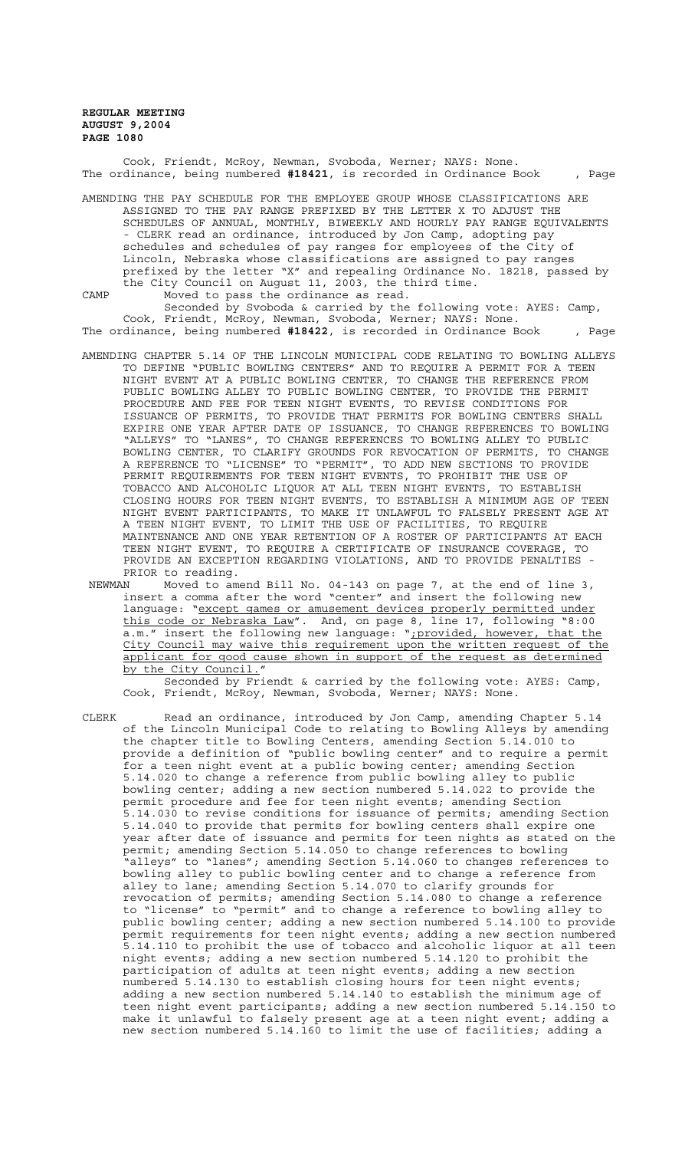Cook, Friendt, McRoy, Newman, Svoboda, Werner; NAYS: None. The ordinance, being numbered **#18421**, is recorded in Ordinance Book , Page

AMENDING THE PAY SCHEDULE FOR THE EMPLOYEE GROUP WHOSE CLASSIFICATIONS ARE ASSIGNED TO THE PAY RANGE PREFIXED BY THE LETTER X TO ADJUST THE SCHEDULES OF ANNUAL, MONTHLY, BIWEEKLY AND HOURLY PAY RANGE EQUIVALENTS - CLERK read an ordinance, introduced by Jon Camp, adopting pay schedules and schedules of pay ranges for employees of the City of Lincoln, Nebraska whose classifications are assigned to pay ranges prefixed by the letter "X" and repealing Ordinance No. 18218, passed by the City Council on August 11, 2003, the third time. CAMP Moved to pass the ordinance as read.

Seconded by Svoboda & carried by the following vote: AYES: Camp, Cook, Friendt, McRoy, Newman, Svoboda, Werner; NAYS: None. The ordinance, being numbered **#18422**, is recorded in Ordinance Book , Page

- AMENDING CHAPTER 5.14 OF THE LINCOLN MUNICIPAL CODE RELATING TO BOWLING ALLEYS TO DEFINE "PUBLIC BOWLING CENTERS" AND TO REQUIRE A PERMIT FOR A TEEN NIGHT EVENT AT A PUBLIC BOWLING CENTER, TO CHANGE THE REFERENCE FROM PUBLIC BOWLING ALLEY TO PUBLIC BOWLING CENTER, TO PROVIDE THE PERMIT PROCEDURE AND FEE FOR TEEN NIGHT EVENTS, TO REVISE CONDITIONS FOR ISSUANCE OF PERMITS, TO PROVIDE THAT PERMITS FOR BOWLING CENTERS SHALL EXPIRE ONE YEAR AFTER DATE OF ISSUANCE, TO CHANGE REFERENCES TO BOWLING "ALLEYS" TO "LANES", TO CHANGE REFERENCES TO BOWLING ALLEY TO PUBLIC BOWLING CENTER, TO CLARIFY GROUNDS FOR REVOCATION OF PERMITS, TO CHANGE A REFERENCE TO "LICENSE" TO "PERMIT", TO ADD NEW SECTIONS TO PROVIDE PERMIT REQUIREMENTS FOR TEEN NIGHT EVENTS, TO PROHIBIT THE USE OF TOBACCO AND ALCOHOLIC LIQUOR AT ALL TEEN NIGHT EVENTS, TO ESTABLISH CLOSING HOURS FOR TEEN NIGHT EVENTS, TO ESTABLISH A MINIMUM AGE OF TEEN NIGHT EVENT PARTICIPANTS, TO MAKE IT UNLAWFUL TO FALSELY PRESENT AGE AT A TEEN NIGHT EVENT, TO LIMIT THE USE OF FACILITIES, TO REQUIRE MAINTENANCE AND ONE YEAR RETENTION OF A ROSTER OF PARTICIPANTS AT EACH TEEN NIGHT EVENT, TO REQUIRE A CERTIFICATE OF INSURANCE COVERAGE, TO PROVIDE AN EXCEPTION REGARDING VIOLATIONS, AND TO PROVIDE PENALTIES - PRIOR to reading.
- NEWMAN Moved to amend Bill No. 04-143 on page 7, at the end of line 3, insert a comma after the word "center" and insert the following new language: "except games or amusement devices properly permitted under this code or Nebraska Law". And, on page 8, line 17, following "8:00 a.m." insert the following new language: ";provided, however, that the City Council may waive this requirement upon the written request of the applicant for good cause shown in support of the request as determined by the City Council."

Seconded by Friendt & carried by the following vote: AYES: Camp, Cook, Friendt, McRoy, Newman, Svoboda, Werner; NAYS: None.

CLERK Read an ordinance, introduced by Jon Camp, amending Chapter 5.14 of the Lincoln Municipal Code to relating to Bowling Alleys by amending the chapter title to Bowling Centers, amending Section 5.14.010 to provide a definition of "public bowling center" and to require a permit for a teen night event at a public bowing center; amending Section 5.14.020 to change a reference from public bowling alley to public bowling center; adding a new section numbered 5.14.022 to provide the permit procedure and fee for teen night events; amending Section 5.14.030 to revise conditions for issuance of permits; amending Section 5.14.040 to provide that permits for bowling centers shall expire one year after date of issuance and permits for teen nights as stated on the permit; amending Section 5.14.050 to change references to bowling "alleys" to "lanes"; amending Section 5.14.060 to changes references to bowling alley to public bowling center and to change a reference from alley to lane; amending Section 5.14.070 to clarify grounds for revocation of permits; amending Section 5.14.080 to change a reference to "license" to "permit" and to change a reference to bowling alley to public bowling center; adding a new section numbered 5.14.100 to provide permit requirements for teen night events; adding a new section numbered 5.14.110 to prohibit the use of tobacco and alcoholic liquor at all teen night events; adding a new section numbered 5.14.120 to prohibit the participation of adults at teen night events; adding a new section numbered 5.14.130 to establish closing hours for teen night events; adding a new section numbered 5.14.140 to establish the minimum age of teen night event participants; adding a new section numbered 5.14.150 to make it unlawful to falsely present age at a teen night event; adding a new section numbered 5.14.160 to limit the use of facilities; adding a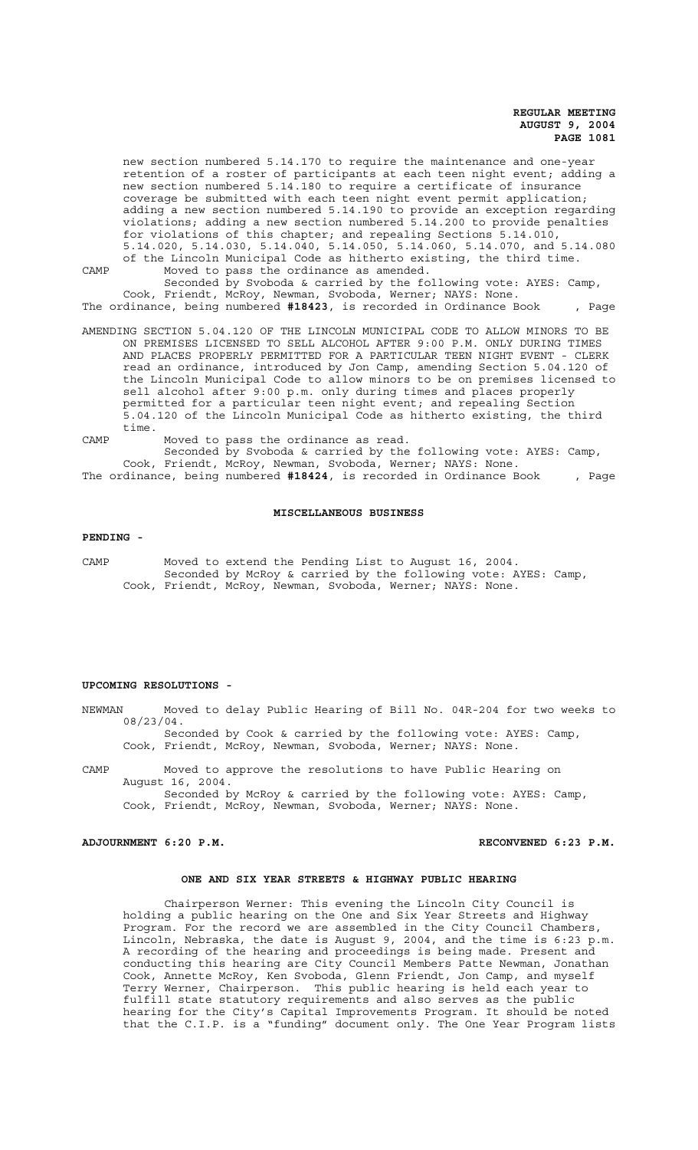new section numbered 5.14.170 to require the maintenance and one-year retention of a roster of participants at each teen night event; adding a new section numbered 5.14.180 to require a certificate of insurance coverage be submitted with each teen night event permit application; adding a new section numbered 5.14.190 to provide an exception regarding violations; adding a new section numbered 5.14.200 to provide penalties for violations of this chapter; and repealing Sections 5.14.010, 5.14.020, 5.14.030, 5.14.040, 5.14.050, 5.14.060, 5.14.070, and 5.14.080 of the Lincoln Municipal Code as hitherto existing, the third time. CAMP Moved to pass the ordinance as amended.

Seconded by Svoboda & carried by the following vote: AYES: Camp, Cook, Friendt, McRoy, Newman, Svoboda, Werner; NAYS: None. The ordinance, being numbered **#18423**, is recorded in Ordinance Book , Page

AMENDING SECTION 5.04.120 OF THE LINCOLN MUNICIPAL CODE TO ALLOW MINORS TO BE ON PREMISES LICENSED TO SELL ALCOHOL AFTER 9:00 P.M. ONLY DURING TIMES AND PLACES PROPERLY PERMITTED FOR A PARTICULAR TEEN NIGHT EVENT - CLERK read an ordinance, introduced by Jon Camp, amending Section 5.04.120 of the Lincoln Municipal Code to allow minors to be on premises licensed to sell alcohol after 9:00 p.m. only during times and places properly permitted for a particular teen night event; and repealing Section 5.04.120 of the Lincoln Municipal Code as hitherto existing, the third time.

CAMP Moved to pass the ordinance as read. Seconded by Svoboda & carried by the following vote: AYES: Camp, Cook, Friendt, McRoy, Newman, Svoboda, Werner; NAYS: None. The ordinance, being numbered **#18424**, is recorded in Ordinance Book , Page

#### **MISCELLANEOUS BUSINESS**

#### **PENDING -**

CAMP Moved to extend the Pending List to August 16, 2004. Seconded by McRoy & carried by the following vote: AYES: Camp, Cook, Friendt, McRoy, Newman, Svoboda, Werner; NAYS: None.

#### **UPCOMING RESOLUTIONS -**

NEWMAN Moved to delay Public Hearing of Bill No. 04R-204 for two weeks to 08/23/04.

Seconded by Cook & carried by the following vote: AYES: Camp, Cook, Friendt, McRoy, Newman, Svoboda, Werner; NAYS: None.

CAMP Moved to approve the resolutions to have Public Hearing on August 16, 2004. Seconded by McRoy & carried by the following vote: AYES: Camp,

Cook, Friendt, McRoy, Newman, Svoboda, Werner; NAYS: None.

**ADJOURNMENT 6:20 P.M. RECONVENED 6:23 P.M.**

#### **ONE AND SIX YEAR STREETS & HIGHWAY PUBLIC HEARING**

Chairperson Werner: This evening the Lincoln City Council is holding a public hearing on the One and Six Year Streets and Highway Program. For the record we are assembled in the City Council Chambers, Lincoln, Nebraska, the date is August 9, 2004, and the time is 6:23 p.m. A recording of the hearing and proceedings is being made. Present and conducting this hearing are City Council Members Patte Newman, Jonathan Cook, Annette McRoy, Ken Svoboda, Glenn Friendt, Jon Camp, and myself Terry Werner, Chairperson. This public hearing is held each year to fulfill state statutory requirements and also serves as the public hearing for the City's Capital Improvements Program. It should be noted that the C.I.P. is a "funding" document only. The One Year Program lists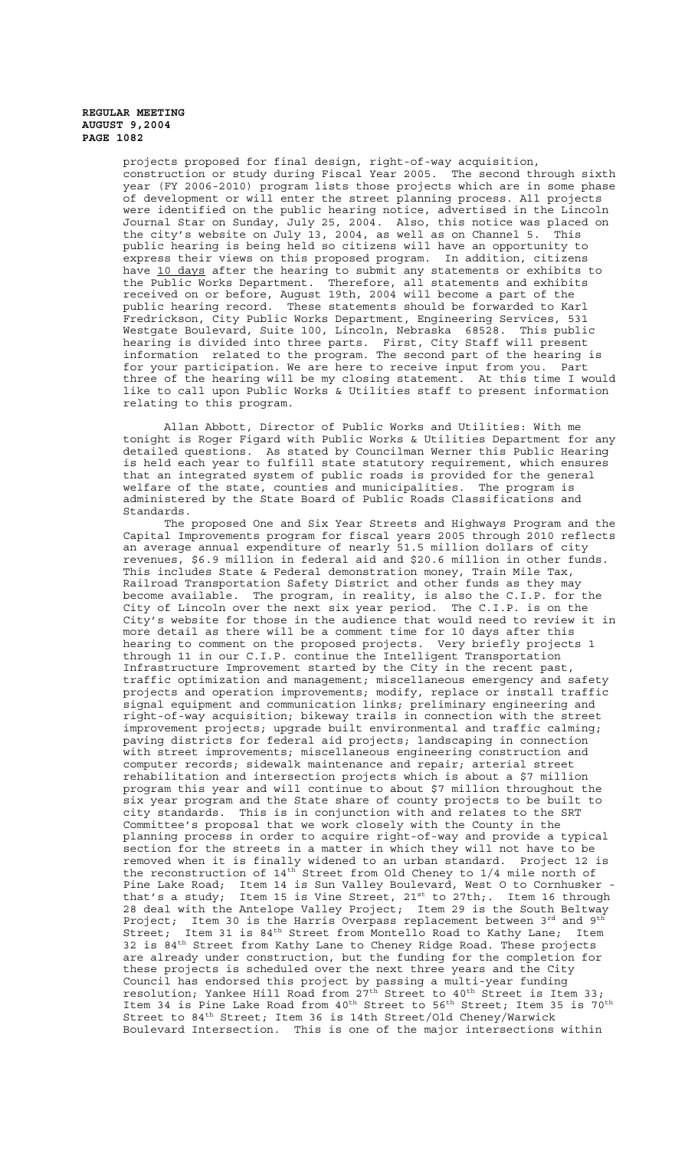projects proposed for final design, right-of-way acquisition, construction or study during Fiscal Year 2005. The second through sixth year (FY 2006-2010) program lists those projects which are in some phase of development or will enter the street planning process. All projects were identified on the public hearing notice, advertised in the Lincoln Journal Star on Sunday, July 25, 2004. Also, this notice was placed on the city's website on July 13, 2004, as well as on Channel 5. This public hearing is being held so citizens will have an opportunity to express their views on this proposed program. In addition, citizens have <u>10 days</u> after the hearing to submit any statements or exhibits to the Public Works Department. Therefore, all statements and exhibits received on or before, August 19th, 2004 will become a part of the public hearing record. These statements should be forwarded to Karl Fredrickson, City Public Works Department, Engineering Services, 531 Westgate Boulevard, Suite 100, Lincoln, Nebraska 68528. This public hearing is divided into three parts. First, City Staff will present information related to the program. The second part of the hearing is for your participation. We are here to receive input from you. Part three of the hearing will be my closing statement. At this time I would like to call upon Public Works & Utilities staff to present information relating to this program.

Allan Abbott, Director of Public Works and Utilities: With me tonight is Roger Figard with Public Works & Utilities Department for any detailed questions. As stated by Councilman Werner this Public Hearing is held each year to fulfill state statutory requirement, which ensures that an integrated system of public roads is provided for the general welfare of the state, counties and municipalities. The program is administered by the State Board of Public Roads Classifications and Standards.

The proposed One and Six Year Streets and Highways Program and the Capital Improvements program for fiscal years 2005 through 2010 reflects an average annual expenditure of nearly 51.5 million dollars of city revenues, \$6.9 million in federal aid and \$20.6 million in other funds. This includes State & Federal demonstration money, Train Mile Tax, Railroad Transportation Safety District and other funds as they may become available. The program, in reality, is also the C.I.P. for the City of Lincoln over the next six year period. The C.I.P. is on the City's website for those in the audience that would need to review it in more detail as there will be a comment time for 10 days after this hearing to comment on the proposed projects. Very briefly projects 1 through 11 in our C.I.P. continue the Intelligent Transportation Infrastructure Improvement started by the City in the recent past, traffic optimization and management; miscellaneous emergency and safety projects and operation improvements; modify, replace or install traffic signal equipment and communication links; preliminary engineering and right-of-way acquisition; bikeway trails in connection with the street improvement projects; upgrade built environmental and traffic calming; paving districts for federal aid projects; landscaping in connection with street improvements; miscellaneous engineering construction and computer records; sidewalk maintenance and repair; arterial street rehabilitation and intersection projects which is about a \$7 million program this year and will continue to about \$7 million throughout the six year program and the State share of county projects to be built to city standards. This is in conjunction with and relates to the SRT Committee's proposal that we work closely with the County in the planning process in order to acquire right-of-way and provide a typical section for the streets in a matter in which they will not have to be removed when it is finally widened to an urban standard. Project 12 is the reconstruction of  $14^{\text{th}}$  Street from Old Cheney to  $1/4$  mile north of Pine Lake Road; Item 14 is Sun Valley Boulevard, West O to Cornhusker that's a study; Item 15 is Vine Street, 21 $^{\text{st}}$  to 27th;. Item 16 through 28 deal with the Antelope Valley Project; Item 29 is the South Beltway Project; Item 30 is the Harris Overpass replacement between  $3^{rd}$  and  $9^{td}$ Street; Item 31 is 84th Street from Montello Road to Kathy Lane; Item 32 is 84th Street from Kathy Lane to Cheney Ridge Road. These projects are already under construction, but the funding for the completion for these projects is scheduled over the next three years and the City Council has endorsed this project by passing a multi-year funding resolution; Yankee Hill Road from  $27^{th}$  Street to  $40^{th}$  Street is Item 33; Item 34 is Pine Lake Road from 40<sup>th</sup> Street to 56<sup>th</sup> Street; Item 35 is 70<sup>th</sup> Street to 84th Street; Item 36 is 14th Street/Old Cheney/Warwick Boulevard Intersection. This is one of the major intersections within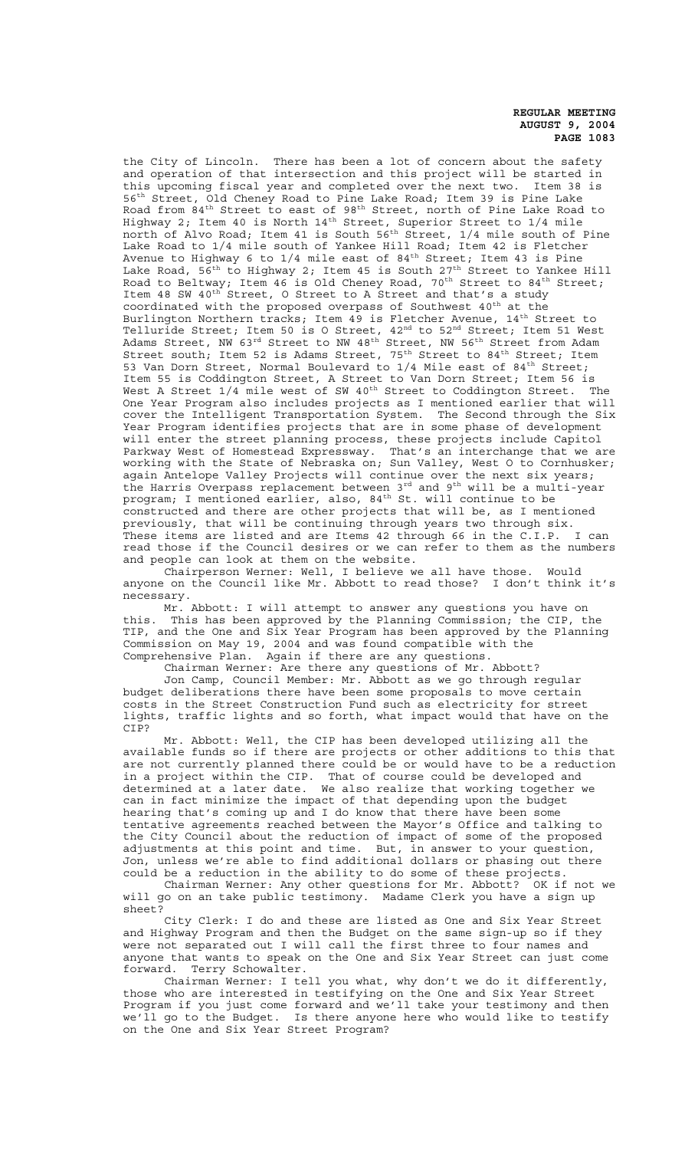the City of Lincoln. There has been a lot of concern about the safety and operation of that intersection and this project will be started in this upcoming fiscal year and completed over the next two. Item 38 is 56<sup>th</sup> Street, Old Cheney Road to Pine Lake Road; Item 39 is Pine Lake Road from 84<sup>th</sup> Street to east of 98<sup>th</sup> Street, north of Pine Lake Road to Highway 2; Item 40 is North  $14^{\text{th}}$  Street, Superior Street to  $1/4$  mile north of Alvo Road; Item 41 is South 56th Street,  $1/4$  mile south of Pine Lake Road to 1/4 mile south of Yankee Hill Road; Item 42 is Fletcher Avenue to Highway 6 to 1/4 mile east of 84th Street; Item 43 is Pine Lake Road,  $56^{th}$  to Highway 2; Item 45 is South 27<sup>th</sup> Street to Yankee Hill Road to Beltway; Item 46 is Old Cheney Road, 70<sup>th</sup> Street to 84<sup>th</sup> Street; Item 48 SW 40<sup>th</sup> Street, O Street to A Street and that's a study coordinated with the proposed overpass of Southwest 40<sup>th</sup> at the Burlington Northern tracks; Item 49 is Fletcher Avenue, 14th Street to Telluride Street; Item 50 is O Street, 42<sup>nd</sup> to 52<sup>nd</sup> Street; Item 51 West Adams Street, NW 63 $^{\rm rd}$  Street to NW 48 $^{\rm th}$  Street, NW 56 $^{\rm th}$  Street from Adam Street south; Item 52 is Adams Street, 75<sup>th</sup> Street to 84<sup>th</sup> Street; Item 53 Van Dorn Street, Normal Boulevard to 1/4 Mile east of 84<sup>th</sup> Street; Item 55 is Coddington Street, A Street to Van Dorn Street; Item 56 is West A Street 1/4 mile west of SW 40<sup>th</sup> Street to Coddington Street. The One Year Program also includes projects as I mentioned earlier that will cover the Intelligent Transportation System. The Second through the Six Year Program identifies projects that are in some phase of development will enter the street planning process, these projects include Capitol Parkway West of Homestead Expressway. That's an interchange that we are working with the State of Nebraska on; Sun Valley, West O to Cornhusker; again Antelope Valley Projects will continue over the next six years; the Harris Overpass replacement between 3<sup>rd</sup> and 9<sup>th</sup> will be a multi-year program; I mentioned earlier, also,  $84^{\text{th}}$  St. will continue to be constructed and there are other projects that will be, as I mentioned previously, that will be continuing through years two through six.<br>These items are listed and are Items 42 through 66 in the C.I.P. I can These items are listed and are Items 42 through 66 in the C.I.P. read those if the Council desires or we can refer to them as the numbers and people can look at them on the website.

Chairperson Werner: Well, I believe we all have those. Would anyone on the Council like Mr. Abbott to read those? I don't think it's necessary.

Mr. Abbott: I will attempt to answer any questions you have on this. This has been approved by the Planning Commission; the CIP, the TIP, and the One and Six Year Program has been approved by the Planning Commission on May 19, 2004 and was found compatible with the Comprehensive Plan. Again if there are any questions.

Chairman Werner: Are there any questions of Mr. Abbott?

Jon Camp, Council Member: Mr. Abbott as we go through regular budget deliberations there have been some proposals to move certain costs in the Street Construction Fund such as electricity for street lights, traffic lights and so forth, what impact would that have on the CIP?

Mr. Abbott: Well, the CIP has been developed utilizing all the available funds so if there are projects or other additions to this that are not currently planned there could be or would have to be a reduction in a project within the CIP. That of course could be developed and determined at a later date. We also realize that working together we can in fact minimize the impact of that depending upon the budget hearing that's coming up and I do know that there have been some tentative agreements reached between the Mayor's Office and talking to the City Council about the reduction of impact of some of the proposed adjustments at this point and time. But, in answer to your question, Jon, unless we're able to find additional dollars or phasing out there could be a reduction in the ability to do some of these projects.

Chairman Werner: Any other questions for Mr. Abbott? OK if not we will go on an take public testimony. Madame Clerk you have a sign up sheet?

City Clerk: I do and these are listed as One and Six Year Street and Highway Program and then the Budget on the same sign-up so if they were not separated out I will call the first three to four names and anyone that wants to speak on the One and Six Year Street can just come forward. Terry Schowalter.

Chairman Werner: I tell you what, why don't we do it differently, those who are interested in testifying on the One and Six Year Street Program if you just come forward and we'll take your testimony and then we'll go to the Budget. Is there anyone here who would like to testify on the One and Six Year Street Program?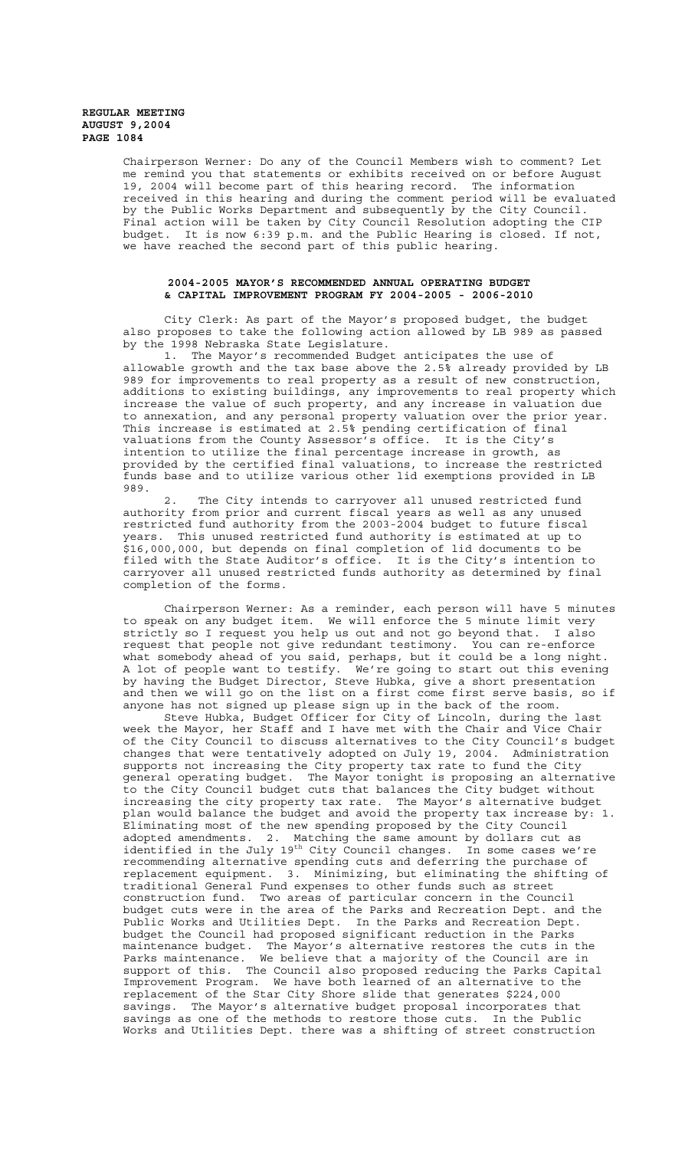Chairperson Werner: Do any of the Council Members wish to comment? Let me remind you that statements or exhibits received on or before August 19, 2004 will become part of this hearing record. The information received in this hearing and during the comment period will be evaluated by the Public Works Department and subsequently by the City Council. Final action will be taken by City Council Resolution adopting the CIP budget. It is now 6:39 p.m. and the Public Hearing is closed. If not, we have reached the second part of this public hearing.

# **2004-2005 MAYOR'S RECOMMENDED ANNUAL OPERATING BUDGET & CAPITAL IMPROVEMENT PROGRAM FY 2004-2005 - 2006-2010**

City Clerk: As part of the Mayor's proposed budget, the budget also proposes to take the following action allowed by LB 989 as passed by the 1998 Nebraska State Legislature.

1. The Mayor's recommended Budget anticipates the use of allowable growth and the tax base above the 2.5% already provided by LB 989 for improvements to real property as a result of new construction, additions to existing buildings, any improvements to real property which increase the value of such property, and any increase in valuation due to annexation, and any personal property valuation over the prior year. This increase is estimated at 2.5% pending certification of final valuations from the County Assessor's office. It is the City's intention to utilize the final percentage increase in growth, as provided by the certified final valuations, to increase the restricted funds base and to utilize various other lid exemptions provided in LB 989.

2. The City intends to carryover all unused restricted fund authority from prior and current fiscal years as well as any unused restricted fund authority from the 2003-2004 budget to future fiscal years. This unused restricted fund authority is estimated at up to \$16,000,000, but depends on final completion of lid documents to be filed with the State Auditor's office. It is the City's intention to carryover all unused restricted funds authority as determined by final completion of the forms.

Chairperson Werner: As a reminder, each person will have 5 minutes to speak on any budget item. We will enforce the 5 minute limit very strictly so I request you help us out and not go beyond that. I also request that people not give redundant testimony. You can re-enforce what somebody ahead of you said, perhaps, but it could be a long night. A lot of people want to testify. We're going to start out this evening by having the Budget Director, Steve Hubka, give a short presentation and then we will go on the list on a first come first serve basis, so if anyone has not signed up please sign up in the back of the room.

Steve Hubka, Budget Officer for City of Lincoln, during the last week the Mayor, her Staff and I have met with the Chair and Vice Chair of the City Council to discuss alternatives to the City Council's budget changes that were tentatively adopted on July 19, 2004. Administration supports not increasing the City property tax rate to fund the City general operating budget. The Mayor tonight is proposing an alternative to the City Council budget cuts that balances the City budget without increasing the city property tax rate. The Mayor's alternative budget plan would balance the budget and avoid the property tax increase by: 1. Eliminating most of the new spending proposed by the City Council adopted amendments. 2. Matching the same amount by dollars cut as identified in the July  $19^{th}$  City Council changes. In some cases we're recommending alternative spending cuts and deferring the purchase of replacement equipment. 3. Minimizing, but eliminating the shifting of traditional General Fund expenses to other funds such as street construction fund. Two areas of particular concern in the Council budget cuts were in the area of the Parks and Recreation Dept. and the Public Works and Utilities Dept. In the Parks and Recreation Dept. budget the Council had proposed significant reduction in the Parks maintenance budget. The Mayor's alternative restores the cuts in the Parks maintenance. We believe that a majority of the Council are in support of this. The Council also proposed reducing the Parks Capital Improvement Program. We have both learned of an alternative to the replacement of the Star City Shore slide that generates \$224,000 savings. The Mayor's alternative budget proposal incorporates that savings as one of the methods to restore those cuts. In the Public Works and Utilities Dept. there was a shifting of street construction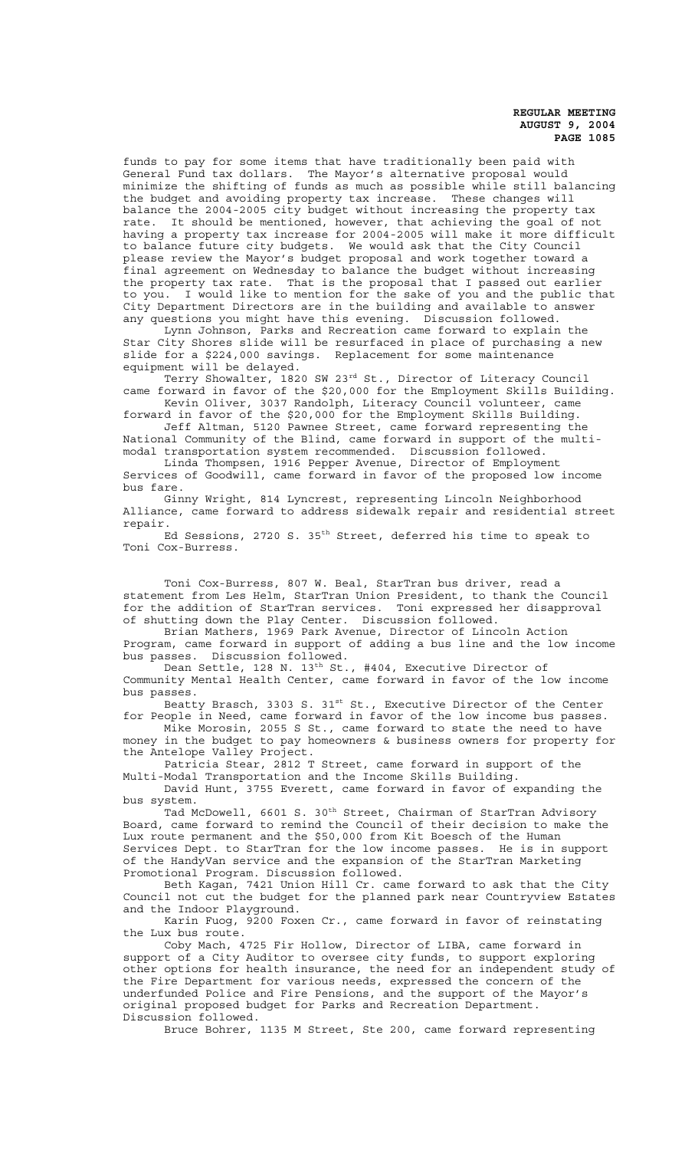funds to pay for some items that have traditionally been paid with General Fund tax dollars. The Mayor's alternative proposal would minimize the shifting of funds as much as possible while still balancing the budget and avoiding property tax increase. These changes will balance the 2004-2005 city budget without increasing the property tax rate. It should be mentioned, however, that achieving the goal of not having a property tax increase for 2004-2005 will make it more difficult to balance future city budgets. We would ask that the City Council please review the Mayor's budget proposal and work together toward a final agreement on Wednesday to balance the budget without increasing the property tax rate. That is the proposal that I passed out earlier to you. I would like to mention for the sake of you and the public that City Department Directors are in the building and available to answer any questions you might have this evening. Discussion followed.

Lynn Johnson, Parks and Recreation came forward to explain the Star City Shores slide will be resurfaced in place of purchasing a new slide for a \$224,000 savings. Replacement for some maintenance equipment will be delayed.

Terry Showalter, 1820 SW 23<sup>rd</sup> St., Director of Literacy Council came forward in favor of the \$20,000 for the Employment Skills Building. Kevin Oliver, 3037 Randolph, Literacy Council volunteer, came

forward in favor of the \$20,000 for the Employment Skills Building. Jeff Altman, 5120 Pawnee Street, came forward representing the

National Community of the Blind, came forward in support of the multimodal transportation system recommended. Discussion followed. Linda Thompsen, 1916 Pepper Avenue, Director of Employment

Services of Goodwill, came forward in favor of the proposed low income bus fare.

Ginny Wright, 814 Lyncrest, representing Lincoln Neighborhood Alliance, came forward to address sidewalk repair and residential street repair.

Ed Sessions, 2720 S. 35th Street, deferred his time to speak to Toni Cox-Burress.

Toni Cox-Burress, 807 W. Beal, StarTran bus driver, read a statement from Les Helm, StarTran Union President, to thank the Council for the addition of StarTran services. Toni expressed her disapproval of shutting down the Play Center. Discussion followed.

Brian Mathers, 1969 Park Avenue, Director of Lincoln Action Program, came forward in support of adding a bus line and the low income bus passes. Discussion followed.

Dean Settle, 128 N. 13<sup>th</sup> St., #404, Executive Director of Community Mental Health Center, came forward in favor of the low income bus passes.

Beatty Brasch, 3303 S. 31st St., Executive Director of the Center for People in Need, came forward in favor of the low income bus passes.

Mike Morosin, 2055 S St., came forward to state the need to have money in the budget to pay homeowners & business owners for property for the Antelope Valley Project.

Patricia Stear, 2812 T Street, came forward in support of the Multi-Modal Transportation and the Income Skills Building.

David Hunt, 3755 Everett, came forward in favor of expanding the bus system.

Tad McDowell, 6601 S. 30<sup>th</sup> Street, Chairman of StarTran Advisory Board, came forward to remind the Council of their decision to make the Lux route permanent and the \$50,000 from Kit Boesch of the Human Services Dept. to StarTran for the low income passes. He is in support of the HandyVan service and the expansion of the StarTran Marketing Promotional Program. Discussion followed.

Beth Kagan, 7421 Union Hill Cr. came forward to ask that the City Council not cut the budget for the planned park near Countryview Estates and the Indoor Playground.

Karin Fuog, 9200 Foxen Cr., came forward in favor of reinstating the Lux bus route.

Coby Mach, 4725 Fir Hollow, Director of LIBA, came forward in support of a City Auditor to oversee city funds, to support exploring other options for health insurance, the need for an independent study of the Fire Department for various needs, expressed the concern of the underfunded Police and Fire Pensions, and the support of the Mayor's original proposed budget for Parks and Recreation Department. Discussion followed.

Bruce Bohrer, 1135 M Street, Ste 200, came forward representing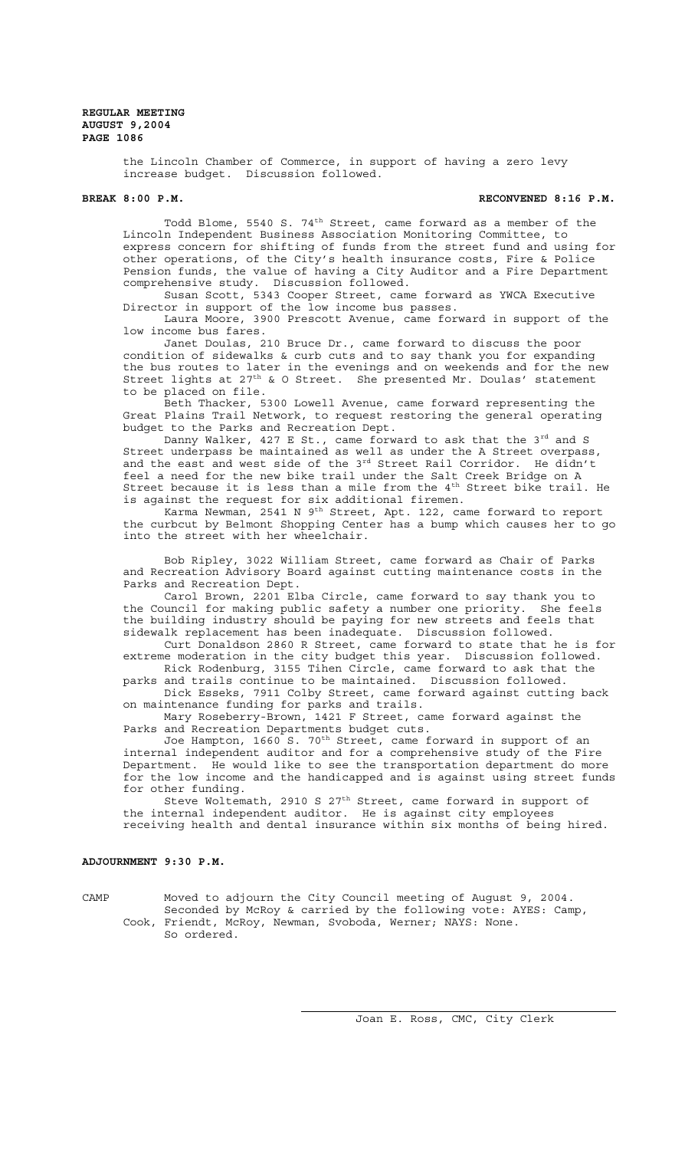the Lincoln Chamber of Commerce, in support of having a zero levy increase budget. Discussion followed.

#### **BREAK 8:00 P.M. RECONVENED 8:16 P.M.**

Todd Blome, 5540 S. 74<sup>th</sup> Street, came forward as a member of the Lincoln Independent Business Association Monitoring Committee, to express concern for shifting of funds from the street fund and using for other operations, of the City's health insurance costs, Fire & Police Pension funds, the value of having a City Auditor and a Fire Department comprehensive study. Discussion followed.

Susan Scott, 5343 Cooper Street, came forward as YWCA Executive Director in support of the low income bus passes.

Laura Moore, 3900 Prescott Avenue, came forward in support of the low income bus fares.

Janet Doulas, 210 Bruce Dr., came forward to discuss the poor condition of sidewalks & curb cuts and to say thank you for expanding the bus routes to later in the evenings and on weekends and for the new Street lights at 27<sup>th</sup> & O Street. She presented Mr. Doulas' statement to be placed on file.

Beth Thacker, 5300 Lowell Avenue, came forward representing the Great Plains Trail Network, to request restoring the general operating budget to the Parks and Recreation Dept.

Danny Walker, 427 E St., came forward to ask that the  $3^{rd}$  and S Street underpass be maintained as well as under the A Street overpass, and the east and west side of the  $3^{rd}$  Street Rail Corridor. He didn't feel a need for the new bike trail under the Salt Creek Bridge on A Street because it is less than a mile from the 4<sup>th</sup> Street bike trail. He is against the request for six additional firemen.

Karma Newman, 2541 N 9<sup>th</sup> Street, Apt. 122, came forward to report the curbcut by Belmont Shopping Center has a bump which causes her to go into the street with her wheelchair.

Bob Ripley, 3022 William Street, came forward as Chair of Parks and Recreation Advisory Board against cutting maintenance costs in the Parks and Recreation Dept.

Carol Brown, 2201 Elba Circle, came forward to say thank you to the Council for making public safety a number one priority. She feels the building industry should be paying for new streets and feels that sidewalk replacement has been inadequate. Discussion followed.

Curt Donaldson 2860 R Street, came forward to state that he is for extreme moderation in the city budget this year. Discussion followed. Rick Rodenburg, 3155 Tihen Circle, came forward to ask that the

parks and trails continue to be maintained. Discussion followed.

Dick Esseks, 7911 Colby Street, came forward against cutting back on maintenance funding for parks and trails.

Mary Roseberry-Brown, 1421 F Street, came forward against the Parks and Recreation Departments budget cuts.

Joe Hampton, 1660 S. 70th Street, came forward in support of an internal independent auditor and for a comprehensive study of the Fire Department. He would like to see the transportation department do more for the low income and the handicapped and is against using street funds for other funding.

Steve Woltemath, 2910 S  $27<sup>th</sup>$  Street, came forward in support of the internal independent auditor. He is against city employees receiving health and dental insurance within six months of being hired.

# **ADJOURNMENT 9:30 P.M.**

CAMP Moved to adjourn the City Council meeting of August 9, 2004. Seconded by McRoy & carried by the following vote: AYES: Camp, Cook, Friendt, McRoy, Newman, Svoboda, Werner; NAYS: None. So ordered.